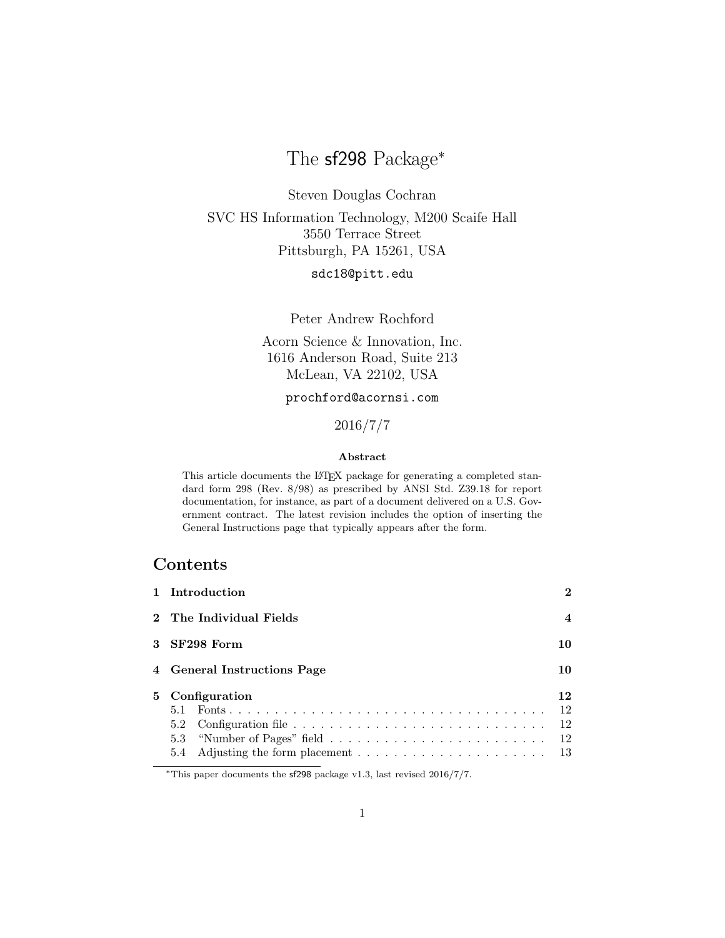# The sf298 Package<sup>∗</sup>

Steven Douglas Cochran SVC HS Information Technology, M200 Scaife Hall 3550 Terrace Street Pittsburgh, PA 15261, USA

sdc18@pitt.edu

Peter Andrew Rochford

Acorn Science & Innovation, Inc. 1616 Anderson Road, Suite 213 McLean, VA 22102, USA

### prochford@acornsi.com

# 2016/7/7

#### Abstract

This article documents the LATEX package for generating a completed standard form 298 (Rev. 8/98) as prescribed by ANSI Std. Z39.18 for report documentation, for instance, as part of a document delivered on a U.S. Government contract. The latest revision includes the option of inserting the General Instructions page that typically appears after the form.

# Contents

| 1 Introduction              | $\mathbf{2}$ |  |  |
|-----------------------------|--------------|--|--|
| 2 The Individual Fields     |              |  |  |
| 3 SF298 Form<br>10          |              |  |  |
| 4 General Instructions Page |              |  |  |
| 5 Configuration             | 12           |  |  |

<sup>∗</sup>This paper documents the sf298 package v1.3, last revised 2016/7/7.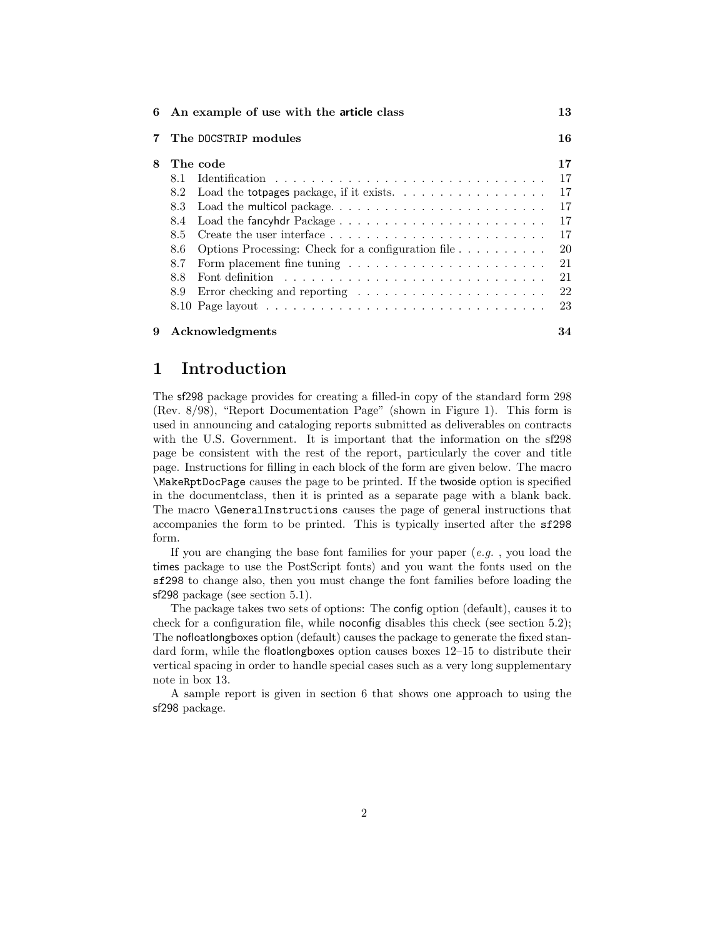| 6 | An example of use with the article class                                                       |    |  |  |
|---|------------------------------------------------------------------------------------------------|----|--|--|
|   | The DOCSTRIP modules                                                                           |    |  |  |
| 8 | The code                                                                                       | 17 |  |  |
|   | 8.1.                                                                                           | 17 |  |  |
|   | Load the totpages package, if it exists. $\ldots \ldots \ldots \ldots \ldots$<br>8.2           | 17 |  |  |
|   | 8.3                                                                                            | 17 |  |  |
|   | Load the fancyhdr Package $\ldots \ldots \ldots \ldots \ldots \ldots \ldots \ldots$<br>8.4     | 17 |  |  |
|   | 8.5                                                                                            | 17 |  |  |
|   | 8.6                                                                                            | 20 |  |  |
|   | 8.7                                                                                            | 21 |  |  |
|   | Font definition $\ldots \ldots \ldots \ldots \ldots \ldots \ldots \ldots \ldots \ldots$<br>8.8 | 21 |  |  |
|   | Error checking and reporting $\dots \dots \dots \dots \dots \dots \dots$<br>8.9                | 22 |  |  |
|   |                                                                                                | 23 |  |  |
| 9 | Acknowledgments                                                                                | 34 |  |  |

# 1 Introduction

The sf298 package provides for creating a filled-in copy of the standard form 298 (Rev. 8/98), "Report Documentation Page" (shown in Figure 1). This form is used in announcing and cataloging reports submitted as deliverables on contracts with the U.S. Government. It is important that the information on the sf298 page be consistent with the rest of the report, particularly the cover and title page. Instructions for filling in each block of the form are given below. The macro \MakeRptDocPage causes the page to be printed. If the twoside option is specified in the documentclass, then it is printed as a separate page with a blank back. The macro \GeneralInstructions causes the page of general instructions that accompanies the form to be printed. This is typically inserted after the sf298 form.

If you are changing the base font families for your paper  $(e.g.$ , you load the times package to use the PostScript fonts) and you want the fonts used on the sf298 to change also, then you must change the font families before loading the sf298 package (see section 5.1).

The package takes two sets of options: The config option (default), causes it to check for a configuration file, while noconfig disables this check (see section 5.2); The nofloatlongboxes option (default) causes the package to generate the fixed standard form, while the floatlongboxes option causes boxes 12–15 to distribute their vertical spacing in order to handle special cases such as a very long supplementary note in box 13.

A sample report is given in section 6 that shows one approach to using the sf298 package.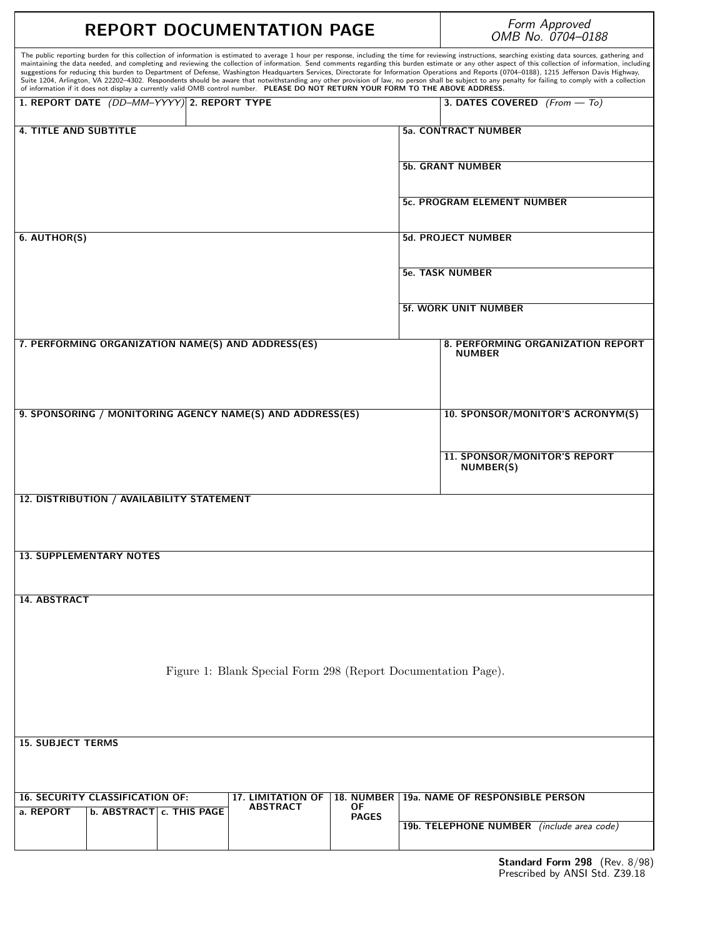| <b>REPORT DOCUMENTATION PAGE</b>                                                                                                                                                                                                                                                                                                                                                                                                                                                                                                                                                                                                                                                                                                                                                                                                                                                                                                                                                                                                                  |                            |  | Form Approved<br>OMB No. 0704-0188                 |  |
|---------------------------------------------------------------------------------------------------------------------------------------------------------------------------------------------------------------------------------------------------------------------------------------------------------------------------------------------------------------------------------------------------------------------------------------------------------------------------------------------------------------------------------------------------------------------------------------------------------------------------------------------------------------------------------------------------------------------------------------------------------------------------------------------------------------------------------------------------------------------------------------------------------------------------------------------------------------------------------------------------------------------------------------------------|----------------------------|--|----------------------------------------------------|--|
| The public reporting burden for this collection of information is estimated to average 1 hour per response, including the time for reviewing instructions, searching existing data sources, gathering and<br>maintaining the data needed, and completing and reviewing the collection of information. Send comments regarding this burden estimate or any other aspect of this collection of information, including<br>suggestions for reducing this burden to Department of Defense, Washington Headquarters Services, Directorate for Information Operations and Reports (0704-0188), 1215 Jefferson Davis Highway,<br>Suite 1204, Arlington, VA 22202-4302. Respondents should be aware that notwithstanding any other provision of law, no person shall be subject to any penalty for failing to comply with a collection<br>of information if it does not display a currently valid OMB control number. PLEASE DO NOT RETURN YOUR FORM TO THE ABOVE ADDRESS.<br>1. REPORT DATE (DD-MM-YYYY) 2. REPORT TYPE<br>3. DATES COVERED $(From - To)$ |                            |  |                                                    |  |
| <b>4. TITLE AND SUBTITLE</b>                                                                                                                                                                                                                                                                                                                                                                                                                                                                                                                                                                                                                                                                                                                                                                                                                                                                                                                                                                                                                      |                            |  | <b>5a. CONTRACT NUMBER</b>                         |  |
|                                                                                                                                                                                                                                                                                                                                                                                                                                                                                                                                                                                                                                                                                                                                                                                                                                                                                                                                                                                                                                                   |                            |  | <b>5b. GRANT NUMBER</b>                            |  |
|                                                                                                                                                                                                                                                                                                                                                                                                                                                                                                                                                                                                                                                                                                                                                                                                                                                                                                                                                                                                                                                   |                            |  |                                                    |  |
|                                                                                                                                                                                                                                                                                                                                                                                                                                                                                                                                                                                                                                                                                                                                                                                                                                                                                                                                                                                                                                                   |                            |  | 5c. PROGRAM ELEMENT NUMBER                         |  |
| 6. AUTHOR(S)                                                                                                                                                                                                                                                                                                                                                                                                                                                                                                                                                                                                                                                                                                                                                                                                                                                                                                                                                                                                                                      |                            |  | <b>5d. PROJECT NUMBER</b>                          |  |
|                                                                                                                                                                                                                                                                                                                                                                                                                                                                                                                                                                                                                                                                                                                                                                                                                                                                                                                                                                                                                                                   |                            |  | <b>5e. TASK NUMBER</b>                             |  |
|                                                                                                                                                                                                                                                                                                                                                                                                                                                                                                                                                                                                                                                                                                                                                                                                                                                                                                                                                                                                                                                   |                            |  |                                                    |  |
|                                                                                                                                                                                                                                                                                                                                                                                                                                                                                                                                                                                                                                                                                                                                                                                                                                                                                                                                                                                                                                                   |                            |  | <b>5f. WORK UNIT NUMBER</b>                        |  |
| 7. PERFORMING ORGANIZATION NAME(S) AND ADDRESS(ES)                                                                                                                                                                                                                                                                                                                                                                                                                                                                                                                                                                                                                                                                                                                                                                                                                                                                                                                                                                                                |                            |  | 8. PERFORMING ORGANIZATION REPORT<br><b>NUMBER</b> |  |
| 9. SPONSORING / MONITORING AGENCY NAME(S) AND ADDRESS(ES)                                                                                                                                                                                                                                                                                                                                                                                                                                                                                                                                                                                                                                                                                                                                                                                                                                                                                                                                                                                         |                            |  | 10. SPONSOR/MONITOR'S ACRONYM(S)                   |  |
|                                                                                                                                                                                                                                                                                                                                                                                                                                                                                                                                                                                                                                                                                                                                                                                                                                                                                                                                                                                                                                                   |                            |  |                                                    |  |
|                                                                                                                                                                                                                                                                                                                                                                                                                                                                                                                                                                                                                                                                                                                                                                                                                                                                                                                                                                                                                                                   |                            |  | 11. SPONSOR/MONITOR'S REPORT<br>NUMBER(S)          |  |
| 12. DISTRIBUTION / AVAILABILITY STATEMENT                                                                                                                                                                                                                                                                                                                                                                                                                                                                                                                                                                                                                                                                                                                                                                                                                                                                                                                                                                                                         |                            |  |                                                    |  |
|                                                                                                                                                                                                                                                                                                                                                                                                                                                                                                                                                                                                                                                                                                                                                                                                                                                                                                                                                                                                                                                   |                            |  |                                                    |  |
| <b>13. SUPPLEMENTARY NOTES</b>                                                                                                                                                                                                                                                                                                                                                                                                                                                                                                                                                                                                                                                                                                                                                                                                                                                                                                                                                                                                                    |                            |  |                                                    |  |
|                                                                                                                                                                                                                                                                                                                                                                                                                                                                                                                                                                                                                                                                                                                                                                                                                                                                                                                                                                                                                                                   |                            |  |                                                    |  |
| 14. ABSTRACT                                                                                                                                                                                                                                                                                                                                                                                                                                                                                                                                                                                                                                                                                                                                                                                                                                                                                                                                                                                                                                      |                            |  |                                                    |  |
|                                                                                                                                                                                                                                                                                                                                                                                                                                                                                                                                                                                                                                                                                                                                                                                                                                                                                                                                                                                                                                                   |                            |  |                                                    |  |
| Figure 1: Blank Special Form 298 (Report Documentation Page).                                                                                                                                                                                                                                                                                                                                                                                                                                                                                                                                                                                                                                                                                                                                                                                                                                                                                                                                                                                     |                            |  |                                                    |  |
|                                                                                                                                                                                                                                                                                                                                                                                                                                                                                                                                                                                                                                                                                                                                                                                                                                                                                                                                                                                                                                                   |                            |  |                                                    |  |
|                                                                                                                                                                                                                                                                                                                                                                                                                                                                                                                                                                                                                                                                                                                                                                                                                                                                                                                                                                                                                                                   |                            |  |                                                    |  |
| <b>15. SUBJECT TERMS</b>                                                                                                                                                                                                                                                                                                                                                                                                                                                                                                                                                                                                                                                                                                                                                                                                                                                                                                                                                                                                                          |                            |  |                                                    |  |
|                                                                                                                                                                                                                                                                                                                                                                                                                                                                                                                                                                                                                                                                                                                                                                                                                                                                                                                                                                                                                                                   |                            |  |                                                    |  |
| <b>16. SECURITY CLASSIFICATION OF:</b><br><b>17. LIMITATION OF</b><br>0F<br><b>ABSTRACT</b><br>a. REPORT<br>b. ABSTRACT c. THIS PAGE                                                                                                                                                                                                                                                                                                                                                                                                                                                                                                                                                                                                                                                                                                                                                                                                                                                                                                              | 18. NUMBER<br><b>PAGES</b> |  | 19a. NAME OF RESPONSIBLE PERSON                    |  |
|                                                                                                                                                                                                                                                                                                                                                                                                                                                                                                                                                                                                                                                                                                                                                                                                                                                                                                                                                                                                                                                   |                            |  | 19b. TELEPHONE NUMBER (include area code)          |  |

Г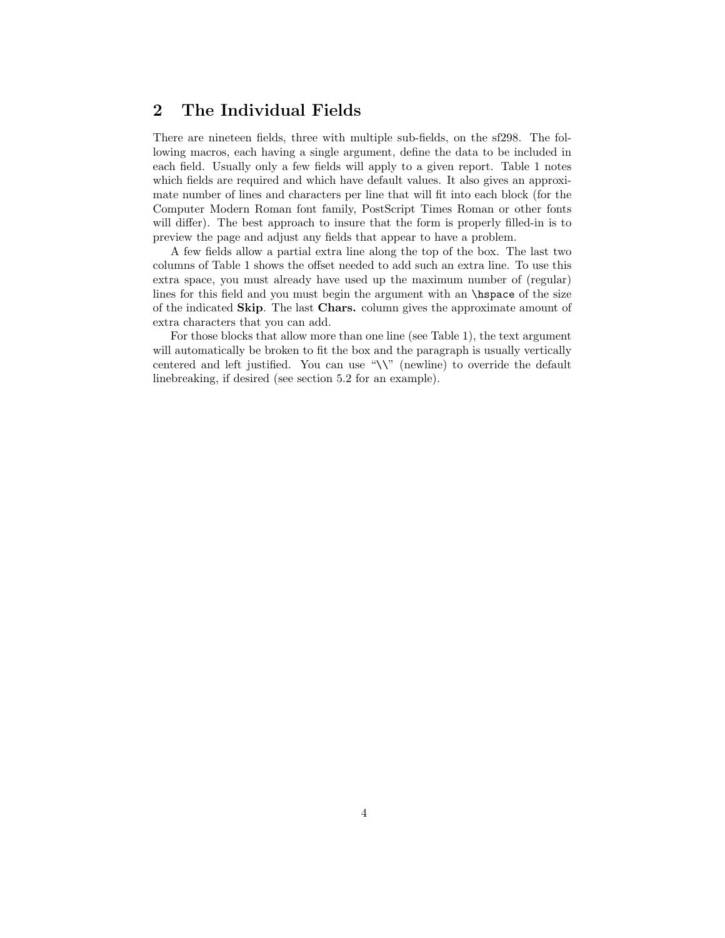# 2 The Individual Fields

There are nineteen fields, three with multiple sub-fields, on the sf298. The following macros, each having a single argument, define the data to be included in each field. Usually only a few fields will apply to a given report. Table 1 notes which fields are required and which have default values. It also gives an approximate number of lines and characters per line that will fit into each block (for the Computer Modern Roman font family, PostScript Times Roman or other fonts will differ). The best approach to insure that the form is properly filled-in is to preview the page and adjust any fields that appear to have a problem.

A few fields allow a partial extra line along the top of the box. The last two columns of Table 1 shows the offset needed to add such an extra line. To use this extra space, you must already have used up the maximum number of (regular) lines for this field and you must begin the argument with an \hspace of the size of the indicated Skip. The last Chars. column gives the approximate amount of extra characters that you can add.

For those blocks that allow more than one line (see Table 1), the text argument will automatically be broken to fit the box and the paragraph is usually vertically centered and left justified. You can use "\\" (newline) to override the default linebreaking, if desired (see section 5.2 for an example).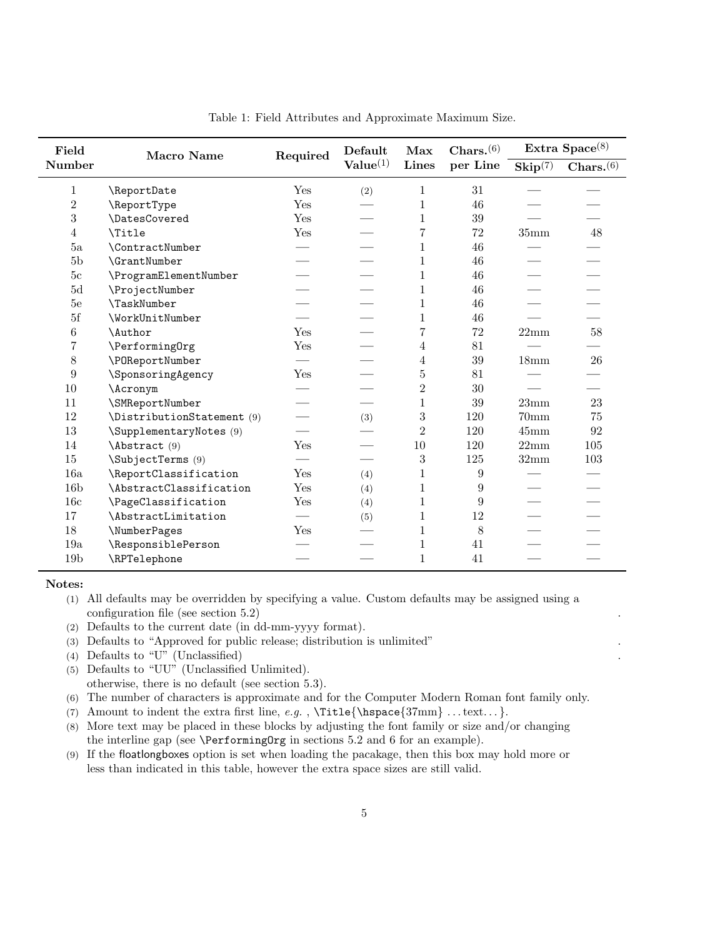| Field           | <b>Macro Name</b>          | Required | Default<br>Value <sup>(1)</sup> | Max<br><b>Lines</b> | $Chars.$ $(6)$ | Extra $Space^{(8)}$              |                         |
|-----------------|----------------------------|----------|---------------------------------|---------------------|----------------|----------------------------------|-------------------------|
| <b>Number</b>   |                            |          |                                 |                     | per Line       | $\mathbf{skip}^{\overline{(7)}}$ | $Chars.$ <sup>(6)</sup> |
| 1               | \ReportDate                | Yes      | (2)                             | 1                   | 31             |                                  |                         |
| $\overline{2}$  | \ReportType                | Yes      |                                 | $\mathbf 1$         | 46             |                                  |                         |
| $\sqrt{3}$      | \DatesCovered              | Yes      |                                 | 1                   | 39             |                                  |                         |
| 4               | <b>\Title</b>              | Yes      |                                 | $\overline{7}$      | 72             | 35 <sub>mm</sub>                 | 48                      |
| 5a              | \ContractNumber            |          |                                 | 1                   | 46             |                                  |                         |
| 5 <sub>b</sub>  | \GrantNumber               |          |                                 | 1                   | 46             |                                  |                         |
| 5 <sub>c</sub>  | \ProgramElementNumber      |          |                                 | $\mathbf{1}$        | 46             |                                  |                         |
| 5d              | \ProjectNumber             |          |                                 | $\mathbf 1$         | 46             |                                  |                         |
| 5e              | \TaskNumber                |          |                                 | $\mathbf 1$         | 46             |                                  |                         |
| 5f              | <b>\WorkUnitNumber</b>     |          |                                 | $\mathbf{1}$        | 46             |                                  |                         |
| $\,6\,$         | <b>\Author</b>             | Yes      |                                 | $\overline{7}$      | 72             | 22mm                             | 58                      |
| $\overline{7}$  | \Performing0rg             | Yes      |                                 | 4                   | 81             |                                  |                         |
| $8\,$           | \POReportNumber            |          |                                 | 4                   | 39             | 18 <sub>mm</sub>                 | 26                      |
| 9               | \SponsoringAgency          | Yes      |                                 | 5                   | 81             |                                  |                         |
| 10              | \Acronym                   |          |                                 | $\overline{2}$      | 30             |                                  |                         |
| 11              | \SMReportNumber            |          |                                 | $\mathbf 1$         | 39             | 23mm                             | 23                      |
| 12              | \DistributionStatement (9) |          | (3)                             | 3                   | 120            | 70 <sub>mm</sub>                 | 75                      |
| 13              | \SupplementaryNotes (9)    |          |                                 | $\overline{2}$      | 120            | $45 \text{mm}$                   | 92                      |
| 14              | Abstract (9)               | Yes      |                                 | 10                  | 120            | 22mm                             | 105                     |
| 15              | \SubjectTerms (9)          |          |                                 | 3                   | 125            | 32mm                             | 103                     |
| 16a             | \ReportClassification      | Yes      | (4)                             | 1                   | 9              |                                  |                         |
| 16 <sub>b</sub> | \AbstractClassification    | Yes      | (4)                             | 1                   | 9              |                                  |                         |
| 16c             | \PageClassification        | Yes      | (4)                             | 1                   | 9              |                                  |                         |
| 17              | \AbstractLimitation        |          | (5)                             | 1                   | 12             |                                  |                         |
| 18              | \NumberPages               | Yes      |                                 | $\mathbf 1$         | $8\,$          |                                  |                         |
| 19a             | \ResponsiblePerson         |          |                                 | 1                   | 41             |                                  |                         |
| 19 <sub>b</sub> | \RPTelephone               |          |                                 | 1                   | 41             |                                  |                         |

Table 1: Field Attributes and Approximate Maximum Size.

#### Notes:

- (2) Defaults to the current date (in dd-mm-yyyy format).
- (3) Defaults to "Approved for public release; distribution is unlimited" .
- (4) Defaults to "U" (Unclassified) .
- (5) Defaults to "UU" (Unclassified Unlimited). otherwise, there is no default (see section 5.3).
- (6) The number of characters is approximate and for the Computer Modern Roman font family only.
- (7) Amount to indent the extra first line, e.g.,  $\Title{\h{37mm}. . . text...}.$
- (8) More text may be placed in these blocks by adjusting the font family or size and/or changing the interline gap (see \PerformingOrg in sections 5.2 and 6 for an example).
- (9) If the floatlongboxes option is set when loading the pacakage, then this box may hold more or less than indicated in this table, however the extra space sizes are still valid.

<sup>(1)</sup> All defaults may be overridden by specifying a value. Custom defaults may be assigned using a configuration file (see section 5.2).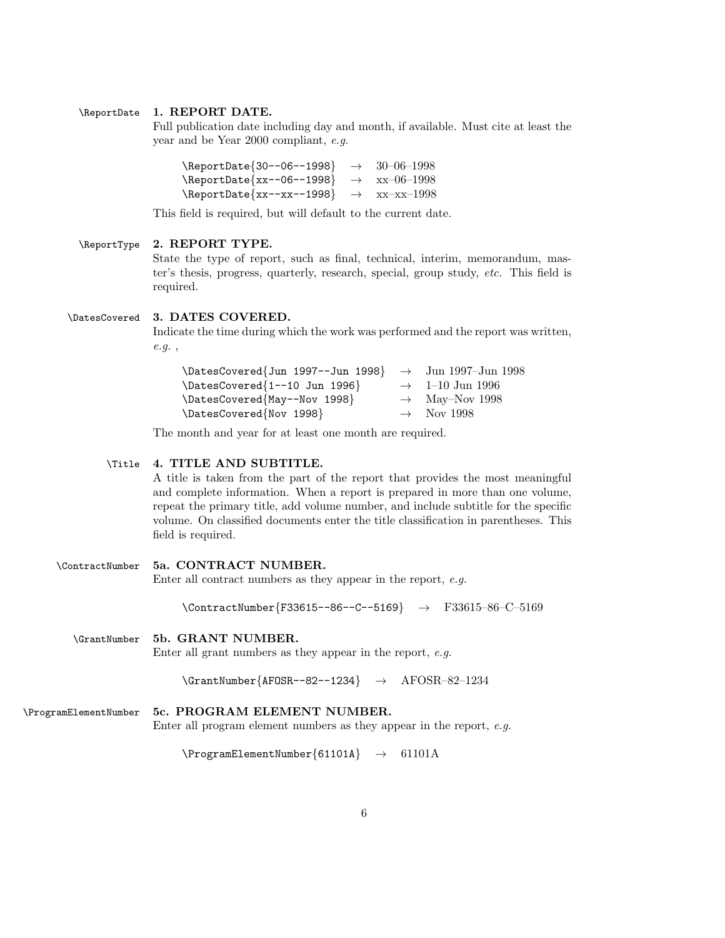### \ReportDate 1. REPORT DATE.

Full publication date including day and month, if available. Must cite at least the year and be Year 2000 compliant, e.g.

| \ReportDate{30--06--1998}                                    | $\rightarrow$ 30-06-1998 |
|--------------------------------------------------------------|--------------------------|
| $\text{ReportDate}\{xx--06--1998\} \rightarrow xx--06--1998$ |                          |
|                                                              |                          |

This field is required, but will default to the current date.

#### \ReportType 2. REPORT TYPE.

State the type of report, such as final, technical, interim, memorandum, master's thesis, progress, quarterly, research, special, group study, etc. This field is required.

#### \DatesCovered 3. DATES COVERED.

Indicate the time during which the work was performed and the report was written, e.g. ,

| $\Delta$ Example 1997-100 1997-100 1998} $\rightarrow$ Jun 1997-Jun 1998 |                             |
|--------------------------------------------------------------------------|-----------------------------|
| $\Lambda_{1--10}$ Jun 1996}                                              | $\rightarrow$ 1–10 Jun 1996 |
| \DatesCovered{May--Nov 1998}                                             | $\rightarrow$ May-Nov 1998  |
| \DatesCovered{Nov 1998}                                                  | $\rightarrow$ Nov 1998      |

The month and year for at least one month are required.

### \Title 4. TITLE AND SUBTITLE.

A title is taken from the part of the report that provides the most meaningful and complete information. When a report is prepared in more than one volume, repeat the primary title, add volume number, and include subtitle for the specific volume. On classified documents enter the title classification in parentheses. This field is required.

```
\ContractNumber 5a. CONTRACT NUMBER.
                Enter all contract numbers as they appear in the report, e.g.
                     \{\mathtt{ContractNumber}\F33615--86--C--5169} \rightarrow F33615-86-C-5169
  \GrantNumber 5b. GRANT NUMBER.
```
Enter all grant numbers as they appear in the report, e.g.

 $\Gamma_{AFOSR--82--1234} \rightarrow AFOSR-82-1234$ 

```
\ProgramElementNumber 5c. PROGRAM ELEMENT NUMBER.
                     Enter all program element numbers as they appear in the report, e.g.
```
 $\PregramElementNumber{61101A} \rightarrow 61101A$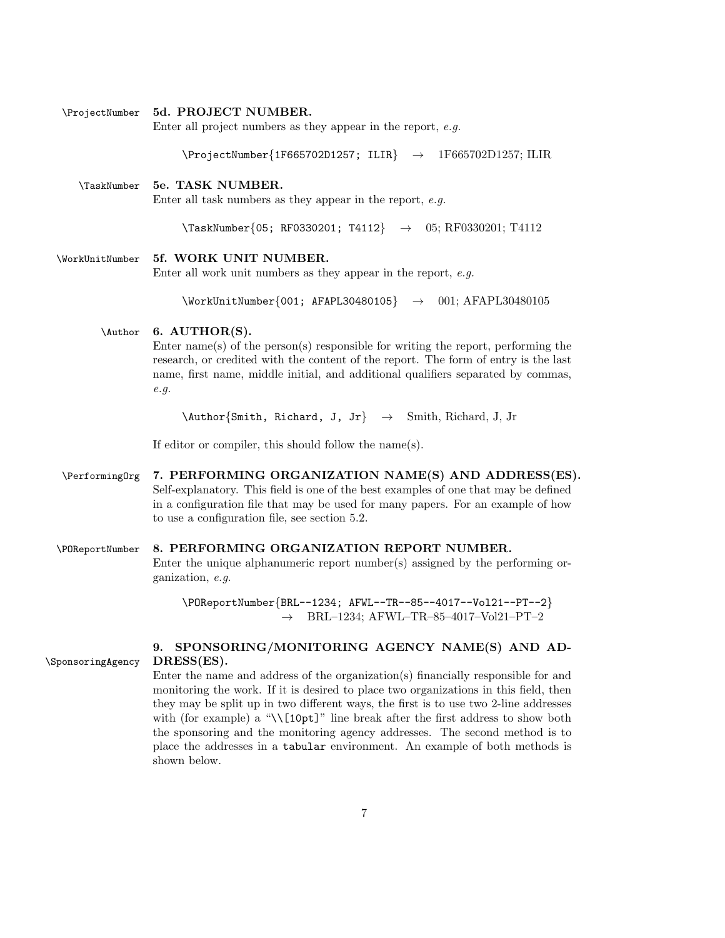#### \ProjectNumber 5d. PROJECT NUMBER.

Enter all project numbers as they appear in the report, e.g.

 $\PrejectNumber{1F665702D1257; ILIR} \rightarrow 1F665702D1257; ILIR$ 

\TaskNumber 5e. TASK NUMBER. Enter all task numbers as they appear in the report, e.g.

\TaskNumber{05; RF0330201; T4112} → 05; RF0330201; T4112

\WorkUnitNumber 5f. WORK UNIT NUMBER.

Enter all work unit numbers as they appear in the report,  $e.g.$ 

 $\text{WorkUnitNumber}\{001; AFAPL30480105}\rightarrow 001; AFAPL30480105$ 

### \Author 6. AUTHOR(S).

Enter name(s) of the person(s) responsible for writing the report, performing the research, or credited with the content of the report. The form of entry is the last name, first name, middle initial, and additional qualifiers separated by commas, e.g.

\Author{Smith, Richard, J, Jr} → Smith, Richard, J, Jr

If editor or compiler, this should follow the name(s).

\Performing0rg 7. PERFORMING ORGANIZATION NAME(S) AND ADDRESS(ES). Self-explanatory. This field is one of the best examples of one that may be defined in a configuration file that may be used for many papers. For an example of how to use a configuration file, see section 5.2.

#### \POReportNumber 8. PERFORMING ORGANIZATION REPORT NUMBER.

Enter the unique alphanumeric report number(s) assigned by the performing organization, e.g.

\POReportNumber{BRL--1234; AFWL--TR--85--4017--Vol21--PT--2}  $\rightarrow$  BRL-1234; AFWL-TR-85-4017-Vol21-PT-2

9. SPONSORING/MONITORING AGENCY NAME(S) AND AD- \SponsoringAgency DRESS(ES).

> Enter the name and address of the organization(s) financially responsible for and monitoring the work. If it is desired to place two organizations in this field, then they may be split up in two different ways, the first is to use two 2-line addresses with (for example) a "\\[10pt]" line break after the first address to show both the sponsoring and the monitoring agency addresses. The second method is to place the addresses in a tabular environment. An example of both methods is shown below.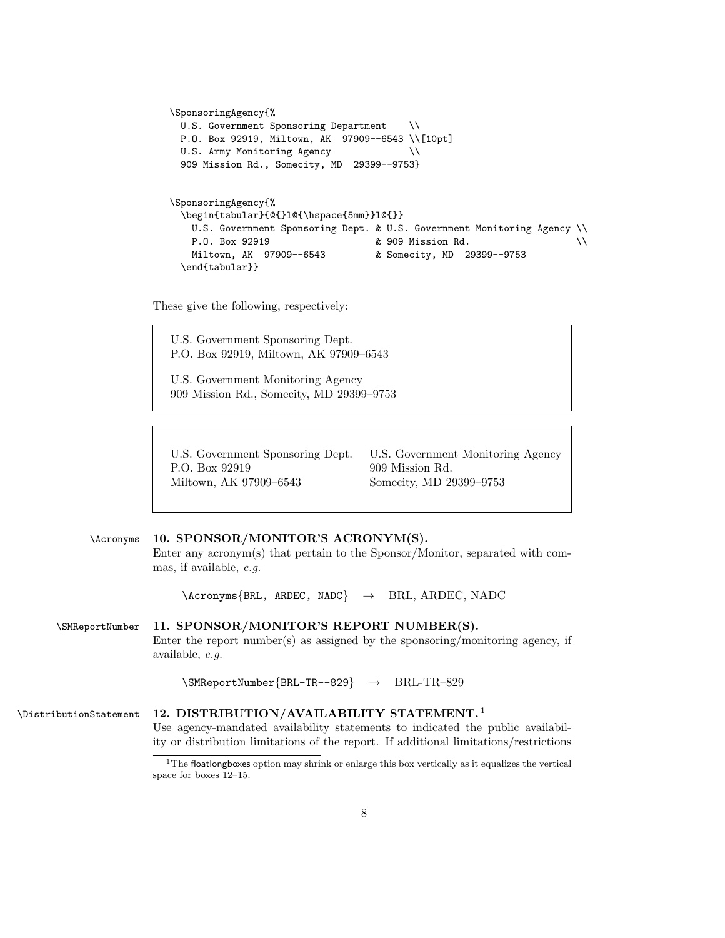```
\SponsoringAgency{%
 U.S. Government Sponsoring Department \\
 P.O. Box 92919, Miltown, AK 97909--6543 \\[10pt]
 U.S. Army Monitoring Agency \setminus909 Mission Rd., Somecity, MD 29399--9753}
\SponsoringAgency{%
 \begin{tabular}{@{}1@{\hspace{5mm}}1@{}}
   U.S. Government Sponsoring Dept. & U.S. Government Monitoring Agency \\
   P.O. Box 92919 & 909 Mission Rd. \\
   Miltown, AK 97909--6543 & Somecity, MD 29399--9753
 \end{tabular}}
```
These give the following, respectively:

U.S. Government Sponsoring Dept. P.O. Box 92919, Miltown, AK 97909–6543 U.S. Government Monitoring Agency 909 Mission Rd., Somecity, MD 29399–9753

P.O. Box 92919 909 Mission Rd. Miltown, AK 97909–6543 Somecity, MD 29399–9753

U.S. Government Sponsoring Dept. U.S. Government Monitoring Agency

# \Acronyms 10. SPONSOR/MONITOR'S ACRONYM(S).

Enter any acronym(s) that pertain to the Sponsor/Monitor, separated with commas, if available, e.g.

 $\text{Acronyms}$   $\text{BRL}$ , ARDEC, NADC  $\rightarrow$  BRL, ARDEC, NADC

# \SMReportNumber 11. SPONSOR/MONITOR'S REPORT NUMBER(S). Enter the report number(s) as assigned by the sponsoring/monitoring agency, if available, e.g.

\SMReportNumber{BRL-TR--829} → BRL-TR–829

#### 12. DISTRIBUTION/AVAILABILITY STATEMENT. <sup>1</sup> \DistributionStatement Use agency-mandated availability statements to indicated the public availability or distribution limitations of the report. If additional limitations/restrictions

<sup>&</sup>lt;sup>1</sup>The floatlongboxes option may shrink or enlarge this box vertically as it equalizes the vertical space for boxes 12–15.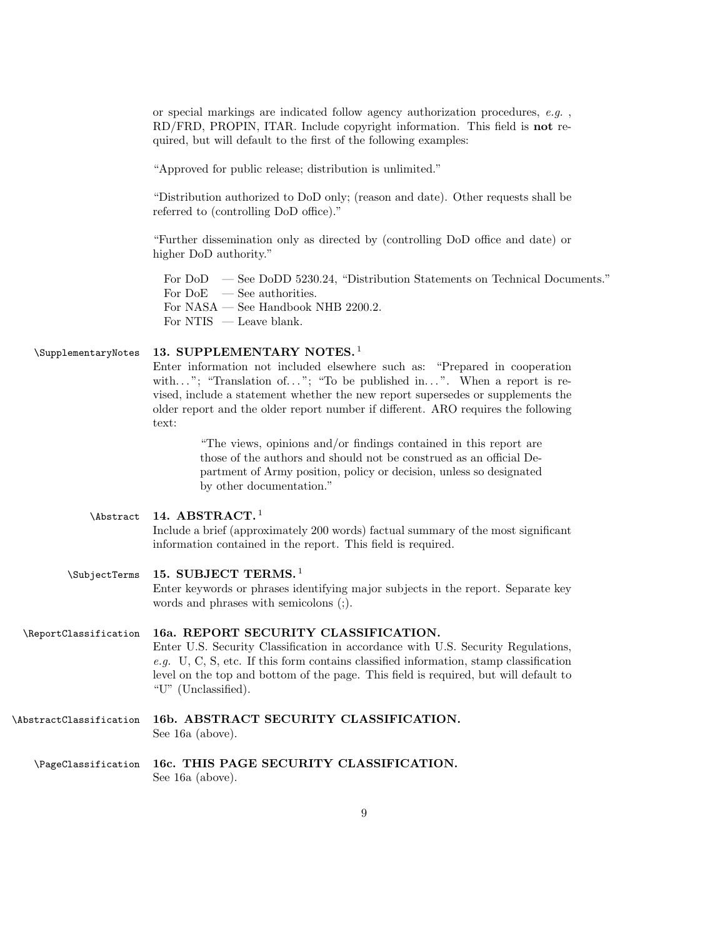or special markings are indicated follow agency authorization procedures, e.g. , RD/FRD, PROPIN, ITAR. Include copyright information. This field is not required, but will default to the first of the following examples:

"Approved for public release; distribution is unlimited."

"Distribution authorized to DoD only; (reason and date). Other requests shall be referred to (controlling DoD office)."

"Further dissemination only as directed by (controlling DoD office and date) or higher DoD authority."

For DoD — See DoDD 5230.24, "Distribution Statements on Technical Documents." For  $DoE$  — See authorities. For NASA — See Handbook NHB 2200.2. For NTIS — Leave blank.

#### 13. SUPPLEMENTARY NOTES.<sup>1</sup> \SupplementaryNotes

Enter information not included elsewhere such as: "Prepared in cooperation with..."; "Translation of..."; "To be published in...". When a report is revised, include a statement whether the new report supersedes or supplements the older report and the older report number if different. ARO requires the following text:

> "The views, opinions and/or findings contained in this report are those of the authors and should not be construed as an official Department of Army position, policy or decision, unless so designated by other documentation."

#### 14. ABSTRACT. $<sup>1</sup>$ </sup> \Abstract

Include a brief (approximately 200 words) factual summary of the most significant information contained in the report. This field is required.

#### 15. SUBJECT TERMS. <sup>1</sup> \SubjectTerms

Enter keywords or phrases identifying major subjects in the report. Separate key words and phrases with semicolons (;).

#### \ReportClassification 16a. REPORT SECURITY CLASSIFICATION.

Enter U.S. Security Classification in accordance with U.S. Security Regulations, e.g. U, C, S, etc. If this form contains classified information, stamp classification level on the top and bottom of the page. This field is required, but will default to "U" (Unclassified).

- \AbstractClassification 16b. ABSTRACT SECURITY CLASSIFICATION. See 16a (above).
	- \PageClassification 16c. THIS PAGE SECURITY CLASSIFICATION. See 16a (above).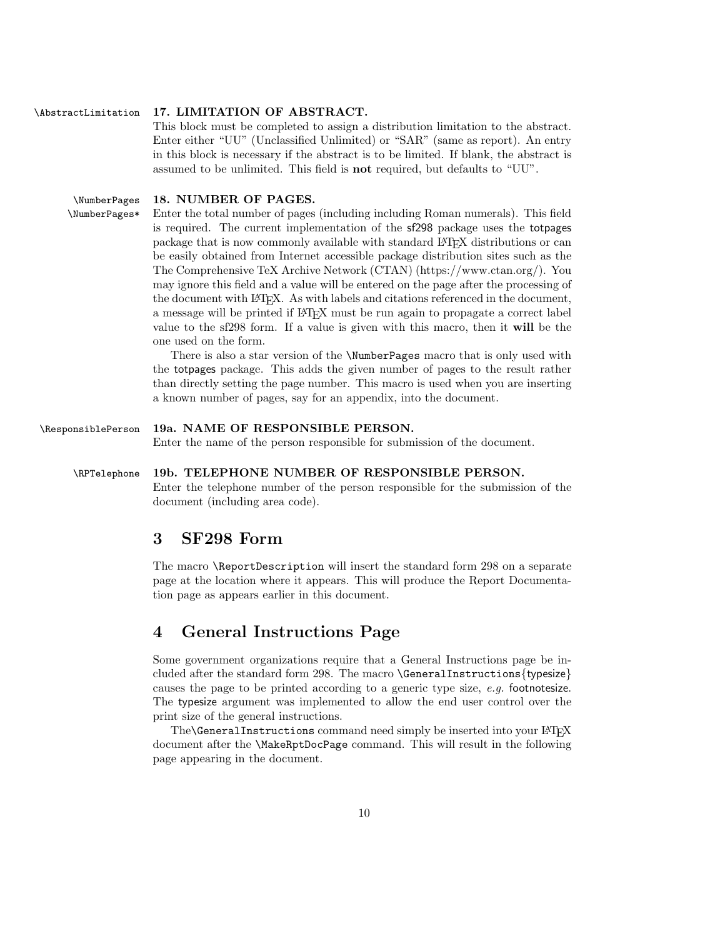#### \AbstractLimitation 17. LIMITATION OF ABSTRACT.

This block must be completed to assign a distribution limitation to the abstract. Enter either "UU" (Unclassified Unlimited) or "SAR" (same as report). An entry in this block is necessary if the abstract is to be limited. If blank, the abstract is assumed to be unlimited. This field is not required, but defaults to "UU".

#### \NumberPages 18. NUMBER OF PAGES.

\NumberPages\* Enter the total number of pages (including including Roman numerals). This field is required. The current implementation of the sf298 package uses the totpages package that is now commonly available with standard LATEX distributions or can be easily obtained from Internet accessible package distribution sites such as the The Comprehensive TeX Archive Network (CTAN) (https://www.ctan.org/). You may ignore this field and a value will be entered on the page after the processing of the document with LATEX. As with labels and citations referenced in the document, a message will be printed if LATEX must be run again to propagate a correct label value to the sf298 form. If a value is given with this macro, then it will be the one used on the form.

> There is also a star version of the \NumberPages macro that is only used with the totpages package. This adds the given number of pages to the result rather than directly setting the page number. This macro is used when you are inserting a known number of pages, say for an appendix, into the document.

\ResponsiblePerson 19a. NAME OF RESPONSIBLE PERSON. Enter the name of the person responsible for submission of the document. \RPTelephone 19b. TELEPHONE NUMBER OF RESPONSIBLE PERSON. Enter the telephone number of the person responsible for the submission of the document (including area code).

# 3 SF298 Form

The macro \ReportDescription will insert the standard form 298 on a separate page at the location where it appears. This will produce the Report Documentation page as appears earlier in this document.

# 4 General Instructions Page

Some government organizations require that a General Instructions page be included after the standard form 298. The macro \GeneralInstructions{typesize} causes the page to be printed according to a generic type size,  $e.q.$  footnotesize. The typesize argument was implemented to allow the end user control over the print size of the general instructions.

The\GeneralInstructions command need simply be inserted into your LATEX document after the \MakeRptDocPage command. This will result in the following page appearing in the document.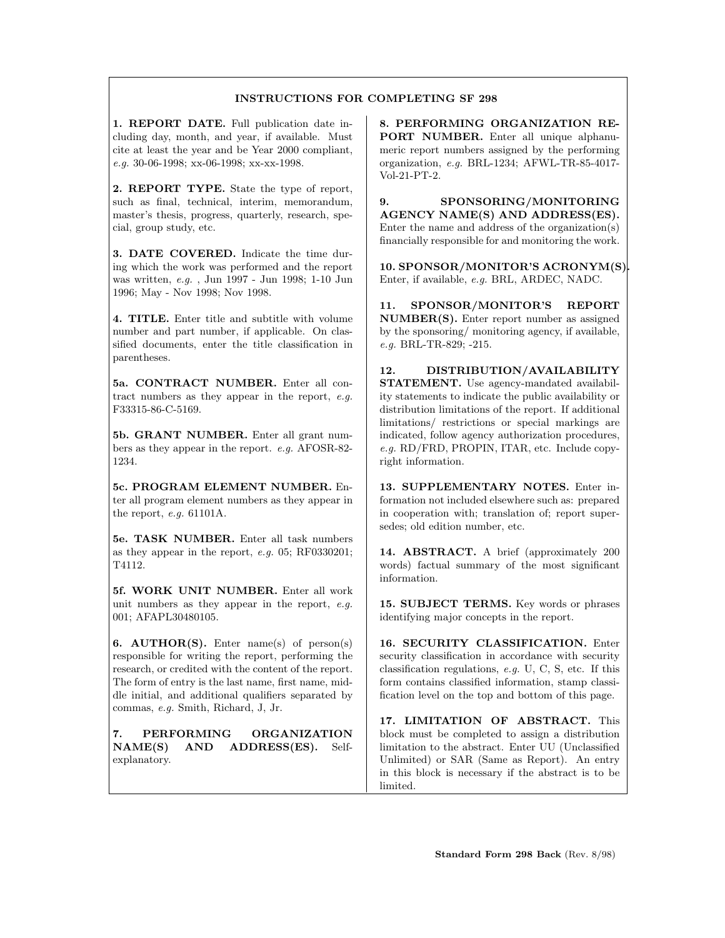#### INSTRUCTIONS FOR COMPLETING SF 298

1. REPORT DATE. Full publication date including day, month, and year, if available. Must cite at least the year and be Year 2000 compliant, e.g. 30-06-1998; xx-06-1998; xx-xx-1998.

2. REPORT TYPE. State the type of report, such as final, technical, interim, memorandum, master's thesis, progress, quarterly, research, special, group study, etc.

3. DATE COVERED. Indicate the time during which the work was performed and the report was written, e.g. , Jun 1997 - Jun 1998; 1-10 Jun 1996; May - Nov 1998; Nov 1998.

4. TITLE. Enter title and subtitle with volume number and part number, if applicable. On classified documents, enter the title classification in parentheses.

5a. CONTRACT NUMBER. Enter all contract numbers as they appear in the report, e.g. F33315-86-C-5169.

5b. GRANT NUMBER. Enter all grant numbers as they appear in the report. e.g. AFOSR-82- 1234.

5c. PROGRAM ELEMENT NUMBER. Enter all program element numbers as they appear in the report, e.g. 61101A.

5e. TASK NUMBER. Enter all task numbers as they appear in the report, e.g. 05; RF0330201; T4112.

5f. WORK UNIT NUMBER. Enter all work unit numbers as they appear in the report, e.g. 001; AFAPL30480105.

6. AUTHOR(S). Enter name(s) of person(s) responsible for writing the report, performing the research, or credited with the content of the report. The form of entry is the last name, first name, middle initial, and additional qualifiers separated by commas, e.g. Smith, Richard, J, Jr.

7. PERFORMING ORGANIZATION NAME(S) AND ADDRESS(ES). Selfexplanatory.

8. PERFORMING ORGANIZATION RE-PORT NUMBER. Enter all unique alphanumeric report numbers assigned by the performing organization, e.g. BRL-1234; AFWL-TR-85-4017- Vol-21-PT-2.

9. SPONSORING/MONITORING AGENCY NAME(S) AND ADDRESS(ES). Enter the name and address of the organization(s) financially responsible for and monitoring the work.

10. SPONSOR/MONITOR'S ACRONYM(S). Enter, if available, e.g. BRL, ARDEC, NADC.

11. SPONSOR/MONITOR'S REPORT NUMBER(S). Enter report number as assigned by the sponsoring/ monitoring agency, if available, e.g. BRL-TR-829; -215.

12. DISTRIBUTION/AVAILABILITY STATEMENT. Use agency-mandated availability statements to indicate the public availability or distribution limitations of the report. If additional limitations/ restrictions or special markings are indicated, follow agency authorization procedures, e.g. RD/FRD, PROPIN, ITAR, etc. Include copyright information.

13. SUPPLEMENTARY NOTES. Enter information not included elsewhere such as: prepared in cooperation with; translation of; report supersedes; old edition number, etc.

14. ABSTRACT. A brief (approximately 200 words) factual summary of the most significant information.

15. SUBJECT TERMS. Key words or phrases identifying major concepts in the report.

16. SECURITY CLASSIFICATION. Enter security classification in accordance with security classification regulations, e.g. U, C, S, etc. If this form contains classified information, stamp classification level on the top and bottom of this page.

17. LIMITATION OF ABSTRACT. This block must be completed to assign a distribution limitation to the abstract. Enter UU (Unclassified Unlimited) or SAR (Same as Report). An entry in this block is necessary if the abstract is to be limited.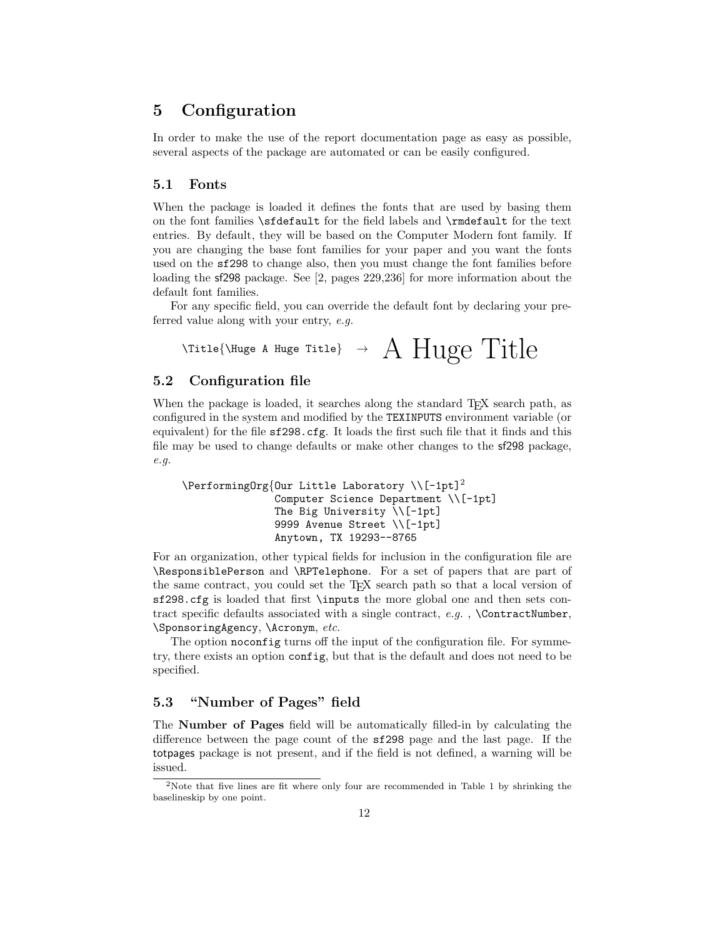# 5 Configuration

In order to make the use of the report documentation page as easy as possible, several aspects of the package are automated or can be easily configured.

#### 5.1 Fonts

When the package is loaded it defines the fonts that are used by basing them on the font families \sfdefault for the field labels and \rmdefault for the text entries. By default, they will be based on the Computer Modern font family. If you are changing the base font families for your paper and you want the fonts used on the sf298 to change also, then you must change the font families before loading the sf298 package. See [2, pages 229,236] for more information about the default font families.

For any specific field, you can override the default font by declaring your preferred value along with your entry, e.g.

$$
\text{YTitle}\{\text{Muge A Huge Title}\} \rightarrow A Huge\ Title\}
$$

### 5.2 Configuration file

When the package is loaded, it searches along the standard T<sub>EX</sub> search path, as configured in the system and modified by the TEXINPUTS environment variable (or equivalent) for the file sf298.cfg. It loads the first such file that it finds and this file may be used to change defaults or make other changes to the sf298 package, e.g.

```
\PerformingOrg{Our Little Laboratory \\[-1pt]2
               Computer Science Department \\[-1pt]
               The Big University \\[-1pt]
               9999 Avenue Street \\[-1pt]
               Anytown, TX 19293--8765
```
For an organization, other typical fields for inclusion in the configuration file are \ResponsiblePerson and \RPTelephone. For a set of papers that are part of the same contract, you could set the TEX search path so that a local version of sf298.cfg is loaded that first \inputs the more global one and then sets contract specific defaults associated with a single contract,  $e.g.$ , \ContractNumber, \SponsoringAgency, \Acronym, etc.

The option noconfig turns off the input of the configuration file. For symmetry, there exists an option config, but that is the default and does not need to be specified.

# 5.3 "Number of Pages" field

The Number of Pages field will be automatically filled-in by calculating the difference between the page count of the sf298 page and the last page. If the totpages package is not present, and if the field is not defined, a warning will be issued.

<sup>2</sup>Note that five lines are fit where only four are recommended in Table 1 by shrinking the baselineskip by one point.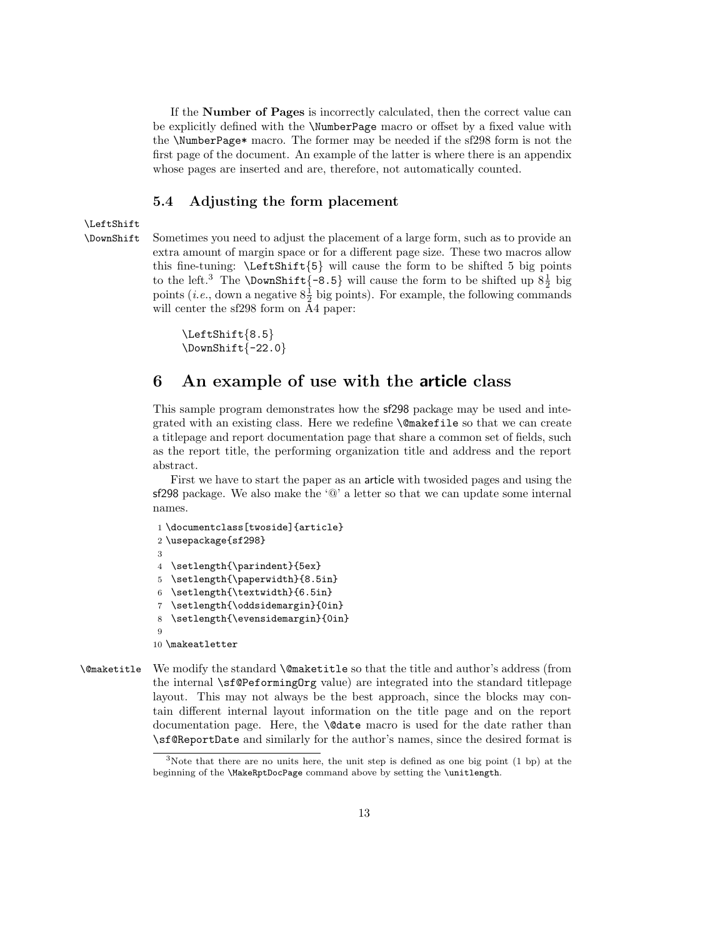If the Number of Pages is incorrectly calculated, then the correct value can be explicitly defined with the \NumberPage macro or offset by a fixed value with the \NumberPage\* macro. The former may be needed if the sf298 form is not the first page of the document. An example of the latter is where there is an appendix whose pages are inserted and are, therefore, not automatically counted.

### 5.4 Adjusting the form placement

#### \LeftShift

\DownShift Sometimes you need to adjust the placement of a large form, such as to provide an extra amount of margin space or for a different page size. These two macros allow this fine-tuning:  $\Leftarrow$   $\leftarrow$   $\leftarrow$   $\leftarrow$   $\leftarrow$   $\leftarrow$   $\leftarrow$   $\leftarrow$   $\leftarrow$   $\leftarrow$   $\leftarrow$   $\leftarrow$   $\leftarrow$   $\leftarrow$   $\leftarrow$   $\leftarrow$   $\leftarrow$   $\leftarrow$   $\leftarrow$   $\leftarrow$   $\leftarrow$   $\leftarrow$   $\leftarrow$   $\leftarrow$   $\leftarrow$   $\leftarrow$   $\leftarrow$   $\leftarrow$   $\leftarrow$   $\leftarrow$   $\leftarrow$   $\leftarrow$   $\leftarrow$   $\leftarrow$ to the left.<sup>3</sup> The **\DownShift**{-8.5} will cause the form to be shifted up  $8\frac{1}{2}$  big points (*i.e.*, down a negative  $8\frac{1}{2}$  big points). For example, the following commands will center the sf298 form on A4 paper:

```
\LeftShift{8.5}
\text{DownShift}[-22.0]
```
# 6 An example of use with the article class

This sample program demonstrates how the sf298 package may be used and integrated with an existing class. Here we redefine \@makefile so that we can create a titlepage and report documentation page that share a common set of fields, such as the report title, the performing organization title and address and the report abstract.

First we have to start the paper as an article with twosided pages and using the sf298 package. We also make the ' $@$ ' a letter so that we can update some internal names.

```
1 \documentclass[twoside]{article}
2 \usepackage{sf298}
3
4 \setlength{\parindent}{5ex}
5 \setlength{\paperwidth}{8.5in}
6 \setlength{\textwidth}{6.5in}
7 \setlength{\oddsidemargin}{0in}
8 \setlength{\evensidemargin}{0in}
\overline{q}10 \makeatletter
```
\@maketitle We modify the standard \@maketitle so that the title and author's address (from the internal \sf@PeformingOrg value) are integrated into the standard titlepage layout. This may not always be the best approach, since the blocks may contain different internal layout information on the title page and on the report documentation page. Here, the \@date macro is used for the date rather than \sf@ReportDate and similarly for the author's names, since the desired format is

<sup>&</sup>lt;sup>3</sup>Note that there are no units here, the unit step is defined as one big point  $(1 \text{ bp})$  at the beginning of the \MakeRptDocPage command above by setting the \unitlength.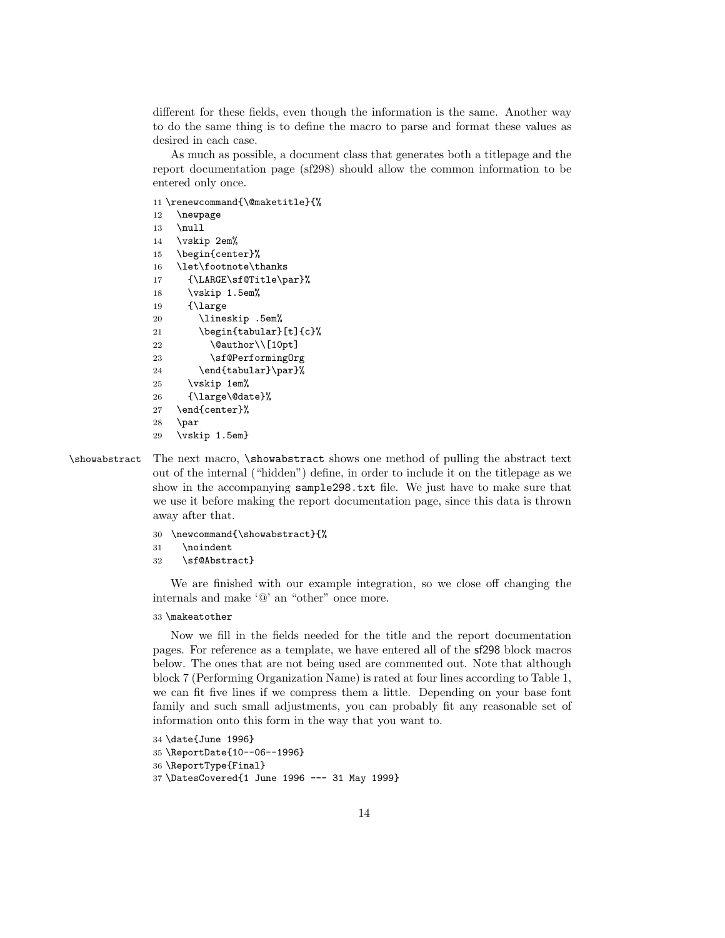different for these fields, even though the information is the same. Another way to do the same thing is to define the macro to parse and format these values as desired in each case.

As much as possible, a document class that generates both a titlepage and the report documentation page (sf298) should allow the common information to be entered only once.

11 \renewcommand{\@maketitle}{%

```
12 \newpage
13 \null
14 \vskip 2em%
15 \begin{center}%
16 \let\footnote\thanks
17 {\LARGE\sf@Title\par}%
18 \vskip 1.5em%
19 {\large
20 \lineskip .5em%
21 \begin{tabular}[t]{c}%
22 \@author\\[10pt]
23 \sf@PerformingOrg
24 \end{tabular}\par}%
25 \vskip 1em%
26 {\large\@date}%
27 \end{center}%
28 \par
29 \vskip 1.5em}
```
\showabstract The next macro, \showabstract shows one method of pulling the abstract text out of the internal ("hidden") define, in order to include it on the titlepage as we show in the accompanying sample298.txt file. We just have to make sure that we use it before making the report documentation page, since this data is thrown away after that.

```
30 \newcommand{\showabstract}{%
```

```
31 \noindent
```

```
32 \sf@Abstract}
```
We are finished with our example integration, so we close off changing the internals and make '@' an "other" once more.

#### 33 \makeatother

Now we fill in the fields needed for the title and the report documentation pages. For reference as a template, we have entered all of the sf298 block macros below. The ones that are not being used are commented out. Note that although block 7 (Performing Organization Name) is rated at four lines according to Table 1, we can fit five lines if we compress them a little. Depending on your base font family and such small adjustments, you can probably fit any reasonable set of information onto this form in the way that you want to.

```
34 \date{June 1996}
35 \ReportDate{10--06--1996}
36 \ReportType{Final}
37 \DatesCovered{1 June 1996 --- 31 May 1999}
```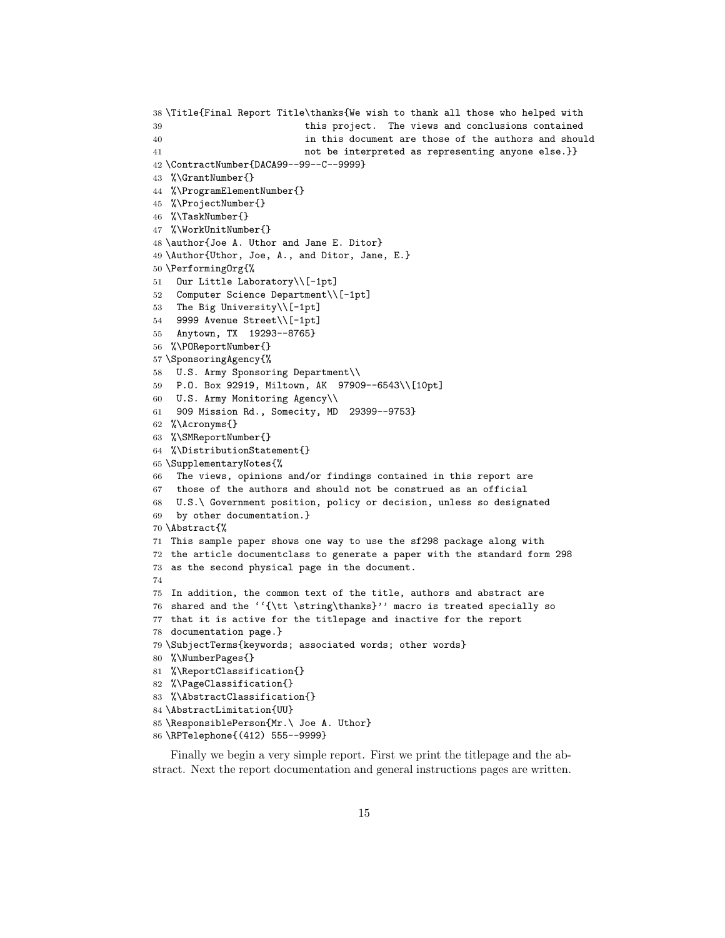```
38 \Title{Final Report Title\thanks{We wish to thank all those who helped with
39 this project. The views and conclusions contained
40 in this document are those of the authors and should
41 not be interpreted as representing anyone else.}}
42 \ContractNumber{DACA99--99--C--9999}
43 %\GrantNumber{}
44 %\ProgramElementNumber{}
45 %\ProjectNumber{}
46 %\TaskNumber{}
47 %\WorkUnitNumber{}
48 \author{Joe A. Uthor and Jane E. Ditor}
49 \Author{Uthor, Joe, A., and Ditor, Jane, E.}
50 \PerformingOrg{%
51 Our Little Laboratory\\[-1pt]
52 Computer Science Department\\[-1pt]
53 The Big University\\[-1pt]
54 9999 Avenue Street\\[-1pt]
55 Anytown, TX 19293--8765}
56 %\POReportNumber{}
57 \SponsoringAgency{%
58 U.S. Army Sponsoring Department\\
59 P.O. Box 92919, Miltown, AK 97909--6543\\[10pt]
60 U.S. Army Monitoring Agency\\
61 909 Mission Rd., Somecity, MD 29399--9753}
62 %\Acronyms{}
63 %\SMReportNumber{}
64 %\DistributionStatement{}
65 \SupplementaryNotes{%
66 The views, opinions and/or findings contained in this report are
67 those of the authors and should not be construed as an official
68 U.S.\ Government position, policy or decision, unless so designated
69 by other documentation.}
70 \Abstract{%
71 This sample paper shows one way to use the sf298 package along with
72 the article documentclass to generate a paper with the standard form 298
73 as the second physical page in the document.
74
75 In addition, the common text of the title, authors and abstract are
76 shared and the ''{\tt \string\thanks}'' macro is treated specially so
77 that it is active for the titlepage and inactive for the report
78 documentation page.}
79 \SubjectTerms{keywords; associated words; other words}
80 %\NumberPages{}
81 %\ReportClassification{}
82 %\PageClassification{}
83 %\AbstractClassification{}
84 \AbstractLimitation{UU}
85 \ResponsiblePerson{Mr.\ Joe A. Uthor}
86 \RPTelephone{(412) 555--9999}
```
Finally we begin a very simple report. First we print the titlepage and the abstract. Next the report documentation and general instructions pages are written.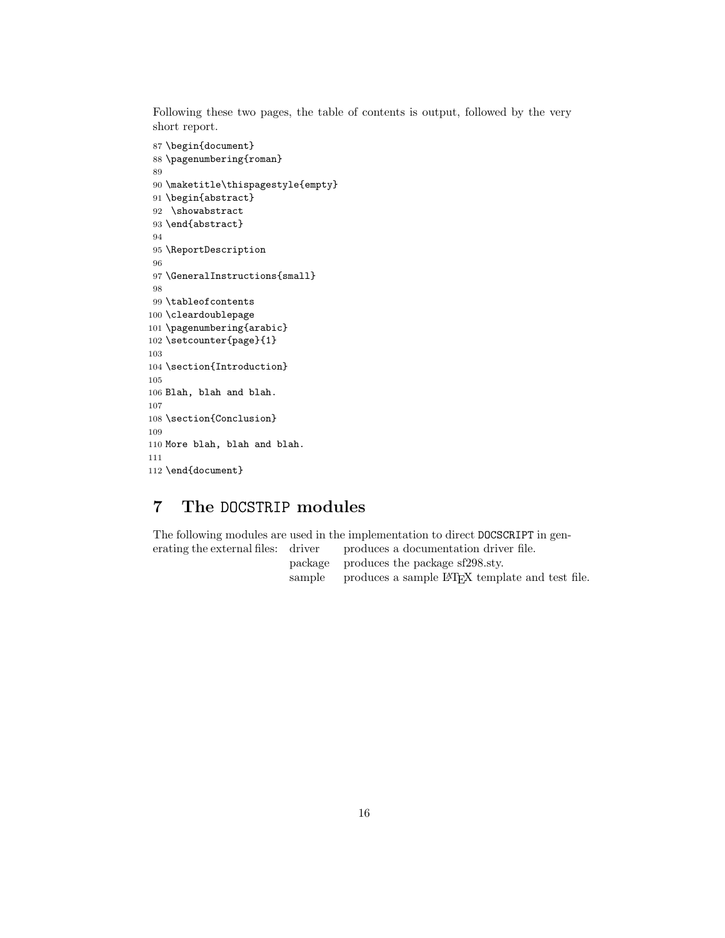Following these two pages, the table of contents is output, followed by the very short report.

```
87 \begin{document}
 88 \pagenumbering{roman}
 89
 90 \maketitle\thispagestyle{empty}
 91 \begin{abstract}
 92 \showabstract
 93 \end{abstract}
 94
 95 \ReportDescription
 96
 97 \GeneralInstructions{small}
 98
 99 \tableofcontents
100 \cleardoublepage
101 \pagenumbering{arabic}
102 \setcounter{page}{1}
103
104 \section{Introduction}
105
106 Blah, blah and blah.
107
108 \section{Conclusion}
109
110 More blah, blah and blah.
111
112 \end{document}
```
# 7 The DOCSTRIP modules

The following modules are used in the implementation to direct DOCSCRIPT in gen-

erating the external files: driver produces a documentation driver file. package produces the package sf298.sty. sample produces a sample LAT<sub>EX</sub> template and test file.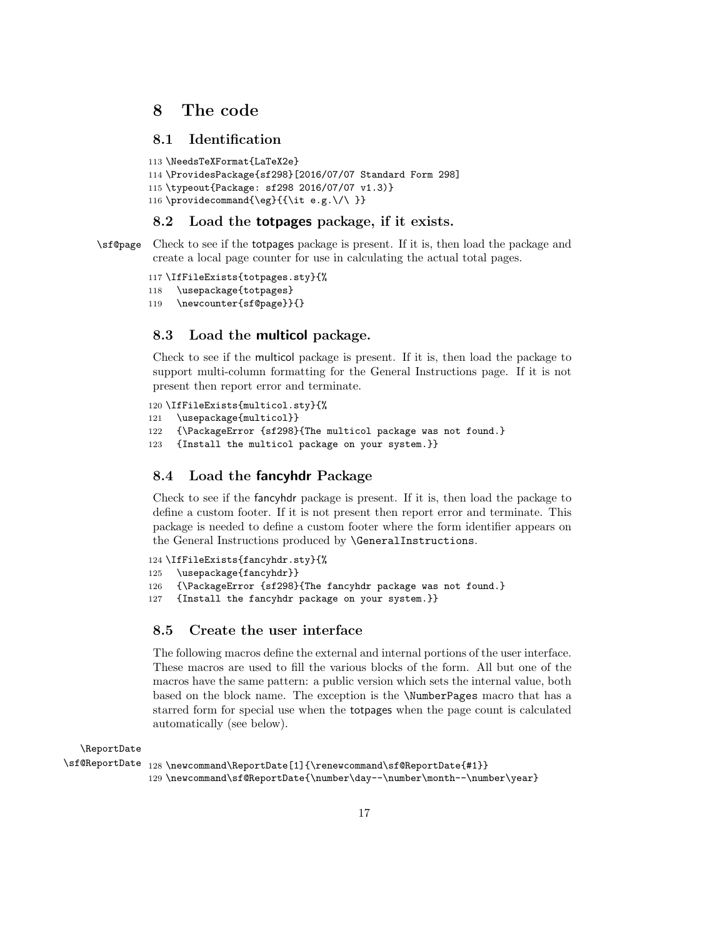# 8 The code

# 8.1 Identification

```
113 \NeedsTeXFormat{LaTeX2e}
114 \ProvidesPackage{sf298}[2016/07/07 Standard Form 298]
115 \typeout{Package: sf298 2016/07/07 v1.3)}
116 \providecommand{\eg}{{\it e.g.\/\ }}
```
# 8.2 Load the totpages package, if it exists.

\sf@page Check to see if the totpages package is present. If it is, then load the package and create a local page counter for use in calculating the actual total pages.

```
117 \IfFileExists{totpages.sty}{%
118 \usepackage{totpages}
119 \newcounter{sf@page}}{}
```
### 8.3 Load the multicol package.

Check to see if the multicol package is present. If it is, then load the package to support multi-column formatting for the General Instructions page. If it is not present then report error and terminate.

```
120 \IfFileExists{multicol.sty}{%
121 \usepackage{multicol}}
122 {\PackageError {sf298}{The multicol package was not found.}
123 {Install the multicol package on your system.}}
```
### 8.4 Load the fancyhdr Package

Check to see if the fancyhdr package is present. If it is, then load the package to define a custom footer. If it is not present then report error and terminate. This package is needed to define a custom footer where the form identifier appears on the General Instructions produced by \GeneralInstructions.

```
124 \IfFileExists{fancyhdr.sty}{%
```

```
125 \usepackage{fancyhdr}}
```
- 126 {\PackageError {sf298}{The fancyhdr package was not found.}
- 127 {Install the fancyhdr package on your system.}}

### 8.5 Create the user interface

The following macros define the external and internal portions of the user interface. These macros are used to fill the various blocks of the form. All but one of the macros have the same pattern: a public version which sets the internal value, both based on the block name. The exception is the \NumberPages macro that has a starred form for special use when the totpages when the page count is calculated automatically (see below).

\ReportDate

```
\verb|\sf@ReportDate _128 \newcommand \verb|f@Reporthate [1]{\renewcommand \sf Sf@Reporthate{#1}}|129 \newcommand\sf@ReportDate{\number\day--\number\month--\number\year}
```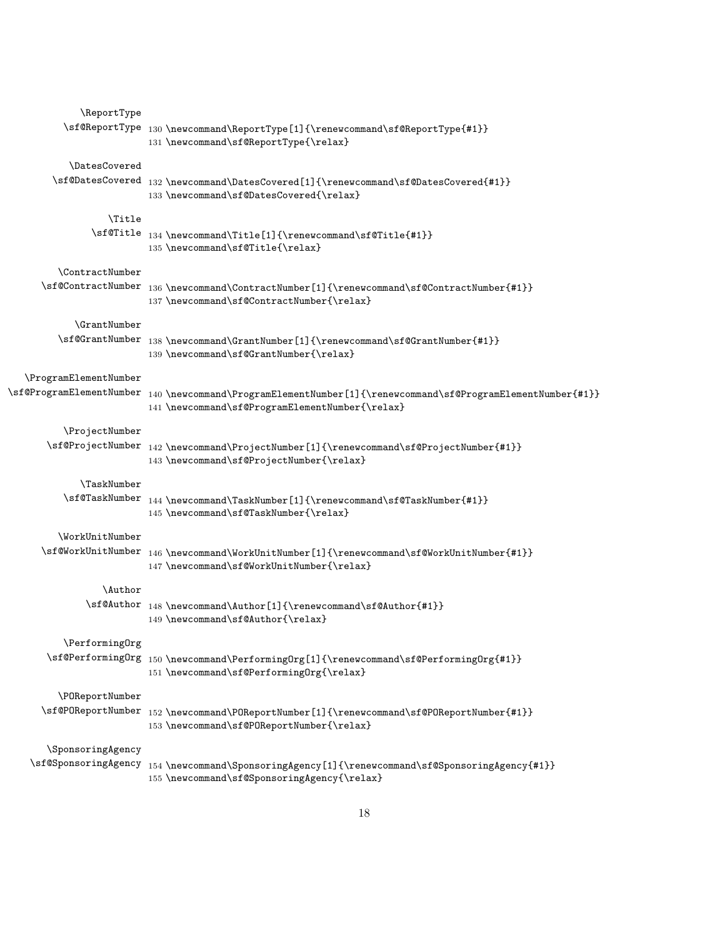| \ReportType                 |                                                                                                                                                                                                                                                                                                                                                                                                                                                                                                                  |
|-----------------------------|------------------------------------------------------------------------------------------------------------------------------------------------------------------------------------------------------------------------------------------------------------------------------------------------------------------------------------------------------------------------------------------------------------------------------------------------------------------------------------------------------------------|
|                             | $\verb \sf@ReportType _130 \newcommand \verb +c +1} + \verb \sf@ReportType_{+1} + \verb \sf@ReportType_{+1} + \verb \sf@ReportType_{+1} + \verb \sf@ReportType_{+1} + \verb \sf@ReportType_{+1} + \verb \sf@ReportType_{+1} + \verb \sf@ReportType_{+1} + \verb \sf@ReportType_{+1} + \verb \sf@Result@ + \verb \sf@Result@ + \verb \sf@Result@ + \verb \sf@Result@ + \verb \sf@Result@ + \verb \sf@Result@ + \verb \sf@Result@ + \verb \sf@Result@ + \verb \sf@H@ + \$<br>131 \newcommand\sf@ReportType{\relax} |
| <i><b>\DatesCovered</b></i> |                                                                                                                                                                                                                                                                                                                                                                                                                                                                                                                  |
|                             | $\sf @DatesCovered_{132 \newcommand{\bss}overed[1]{\renewcommand\sfs@DatesCovered{#1}}$<br>133 \newcommand\sf@DatesCovered{\relax}                                                                                                                                                                                                                                                                                                                                                                               |
| <b>\Title</b>               |                                                                                                                                                                                                                                                                                                                                                                                                                                                                                                                  |
|                             | $\verb \sf@Title_134 \newcommand {\#1}{t= [1]{\renewcommand \sf@Title{#1}} $<br>135 \newcommand\sf@Title{\relax}                                                                                                                                                                                                                                                                                                                                                                                                 |
| \ContractNumber             |                                                                                                                                                                                                                                                                                                                                                                                                                                                                                                                  |
| \sf@ContractNumber          | 136 \newcommand\ContractNumber[1]{\renewcommand\sf@ContractNumber{#1}}<br>137 \newcommand\sf@ContractNumber{\relax}                                                                                                                                                                                                                                                                                                                                                                                              |
| <b>\GrantNumber</b>         |                                                                                                                                                                                                                                                                                                                                                                                                                                                                                                                  |
|                             | $\sf QGramtNumber~138\newcommand\GrantMumber{#1}$<br>139 \newcommand\sf@GrantNumber{\relax}                                                                                                                                                                                                                                                                                                                                                                                                                      |
| \ProgramElementNumber       |                                                                                                                                                                                                                                                                                                                                                                                                                                                                                                                  |
| \sf@ProgramElementNumber    | 140 \newcommand\ProgramElementNumber[1]{\renewcommand\sf@ProgramElementNumber{#1}}<br>141\newcommand\sf@ProgramElementNumber{\relax}                                                                                                                                                                                                                                                                                                                                                                             |
| \ProjectNumber              |                                                                                                                                                                                                                                                                                                                                                                                                                                                                                                                  |
|                             | $\sf \of \mathbb{D} \simeq \verb 1 + \verb 1 + \verb 1 + \verb 1 + \verb 2 + \verb 2 + \verb 2 + \verb 2 + \verb 2 + \verb 2 + \verb 2 + \verb 2 + \verb 2 + \verb 2 + \verb 2 + \verb 2 + \verb 2 + \verb 2 + \verb 2 + \verb 2 + \verb 2 + \verb 2 + \verb 2 + \verb 2 + \verb 2 + \verb 2 + \verb 2 + \verb 2 + \verb 2 + \verb 2 + \verb 2 + \verb 2 + \verb 2 + \verb 2 + \verb$<br>143 \newcommand\sf@ProjectNumber{\relax}                                                                                |
| <b>\TaskNumber</b>          |                                                                                                                                                                                                                                                                                                                                                                                                                                                                                                                  |
|                             | $\sf QTaskNumber_{144 \newcommand{\label{thm:13}thm:144}newcommand\mathrm{1}{\textbf{0}}\sf GTaskNumber{#1}}$<br>145 \newcommand\sf@TaskNumber{\relax}                                                                                                                                                                                                                                                                                                                                                           |
| \WorkUnitNumber             |                                                                                                                                                                                                                                                                                                                                                                                                                                                                                                                  |
|                             | $\verb \sf@WorkUnitNumber _146 \newcommand \backslash workUnitNumber[1]{\renewcommand \backslash sf@WorkUnitNumber{#1}} $<br>147 \newcommand\sf@WorkUnitNumber{\relax}                                                                                                                                                                                                                                                                                                                                           |
| \Author                     |                                                                                                                                                                                                                                                                                                                                                                                                                                                                                                                  |
|                             | \sf@Author 148 \newcommand\Author[1]{\renewcommand\sf@Author{#1}}<br>149 \newcommand\sf@Author{\relax}                                                                                                                                                                                                                                                                                                                                                                                                           |
| \PerformingOrg              |                                                                                                                                                                                                                                                                                                                                                                                                                                                                                                                  |
|                             | $\verb \sf@PerformingOrg_150\newcommand\>{}PerformingOrg_1]{\renewcommand\sf\sf@PerformingOrg#1}}$<br>151 \newcommand\sf@PerformingOrg{\relax}                                                                                                                                                                                                                                                                                                                                                                   |
| \POReportNumber             |                                                                                                                                                                                                                                                                                                                                                                                                                                                                                                                  |
|                             | $\verb \sf@POP@ReportNumber _152 \newcommand \POReportNumber[1]{\verb renewcommand\sf st@POP@ReportNumber{#1}} $<br>153 \newcommand\sf@POReportNumber{\relax}                                                                                                                                                                                                                                                                                                                                                    |
| \SponsoringAgency           |                                                                                                                                                                                                                                                                                                                                                                                                                                                                                                                  |
|                             | $\verb \sf @Sponsoring Agency 154 \newcommand \SponsoringAgentsfgency[1]{\renewcommand \sfgSponsoringAgenty#1}} $<br>155 \newcommand\sf@SponsoringAgency{\relax}                                                                                                                                                                                                                                                                                                                                                 |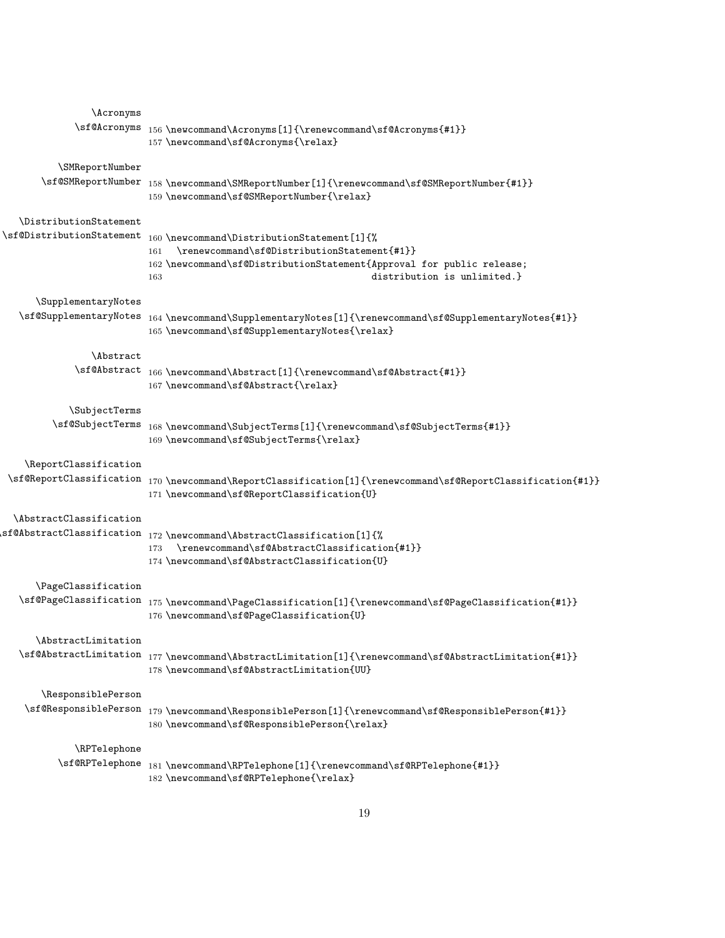| <i>Acronyms</i>                       |                                                                                                                                                                                                                 |
|---------------------------------------|-----------------------------------------------------------------------------------------------------------------------------------------------------------------------------------------------------------------|
| \sf@Acronyms                          | 156\newcommand\Acronyms[1]{\renewcommand\sf@Acronyms{#1}}<br>157 \newcommand\sf@Acronyms{\relax}                                                                                                                |
| \SMReportNumber<br>\sf@SMReportNumber | 158\newcommand\SMReportNumber[1]{\renewcommand\sf@SMReportNumber{#1}}<br>159 \newcommand\sf@SMReportNumber{\relax}                                                                                              |
| \DistributionStatement                |                                                                                                                                                                                                                 |
| \sf@DistributionStatement             | 160 \newcommand\DistributionStatement[1]{%<br>\renewcommand\sf@DistributionStatement{#1}}<br>161<br>162 \newcommand\sf@DistributionStatement{Approval for public release;<br>distribution is unlimited.}<br>163 |
| \SupplementaryNotes                   |                                                                                                                                                                                                                 |
| \sf@SupplementaryNotes                | 164 \newcommand\SupplementaryNotes[1]{\renewcommand\sf@SupplementaryNotes{#1}}<br>165 \newcommand\sf@SupplementaryNotes{\relax}                                                                                 |
| <i>Abstract</i>                       |                                                                                                                                                                                                                 |
| \sf@Abstract                          | 166 \newcommand\Abstract[1]{\renewcommand\sf@Abstract{#1}}<br>167 \newcommand\sf@Abstract{\relax}                                                                                                               |
| \SubjectTerms                         |                                                                                                                                                                                                                 |
| \sf@SubjectTerms                      | 168\newcommand\SubjectTerms[1]{\renewcommand\sf@SubjectTerms{#1}}<br>169 \newcommand\sf@SubjectTerms{\relax}                                                                                                    |
| \ReportClassification                 |                                                                                                                                                                                                                 |
|                                       | $\verb \sf@ReportClassification _170 \newcommand \verb \eportClassification[1]{\verb \renewcommand\sf sf@ReportClassification{#1} }$<br>171 \newcommand\sf@ReportClassification{U}                              |
| \AbstractClassification               |                                                                                                                                                                                                                 |
|                                       | \sf@AbstractClassification 172 \newcommand\AbstractClassification[1]{%<br>\renewcommand\sf@AbstractClassification{#1}}<br>173<br>174 \newcommand\sf@AbstractClassification{U}                                   |
| \PageClassification                   |                                                                                                                                                                                                                 |
|                                       | $\verb \sf@PageClassifieration _175 \newcommand \PageClassifieration[1]{\renewcommand \sf\sf\;f@PageClassifieration{#1}} $<br>176\newcommand\sf@PageClassification{U}                                           |
| \AbstractLimitation                   |                                                                                                                                                                                                                 |
|                                       | $\verb \sf@AbstractLimitation_177\newcommand\ abstractLimitation[1]{\renewcommand\sf\sf@AbstractLimitation{#1}} $<br>178 \newcommand\sf@AbstractLimitation{UU}                                                  |
| \ResponsiblePerson                    |                                                                                                                                                                                                                 |
| \sf@ResponsiblePerson                 | 179\newcommand\ResponsiblePerson[1]{\renewcommand\sf@ResponsiblePerson{#1}}<br>180\newcommand\sf@ResponsiblePerson{\relax}                                                                                      |
| \RPTelephone                          |                                                                                                                                                                                                                 |
| \sf@RPTelephone                       | 181 \newcommand\RPTelephone[1]{\renewcommand\sf@RPTelephone{#1}}<br>182 \newcommand\sf@RPTelephone{\relax}                                                                                                      |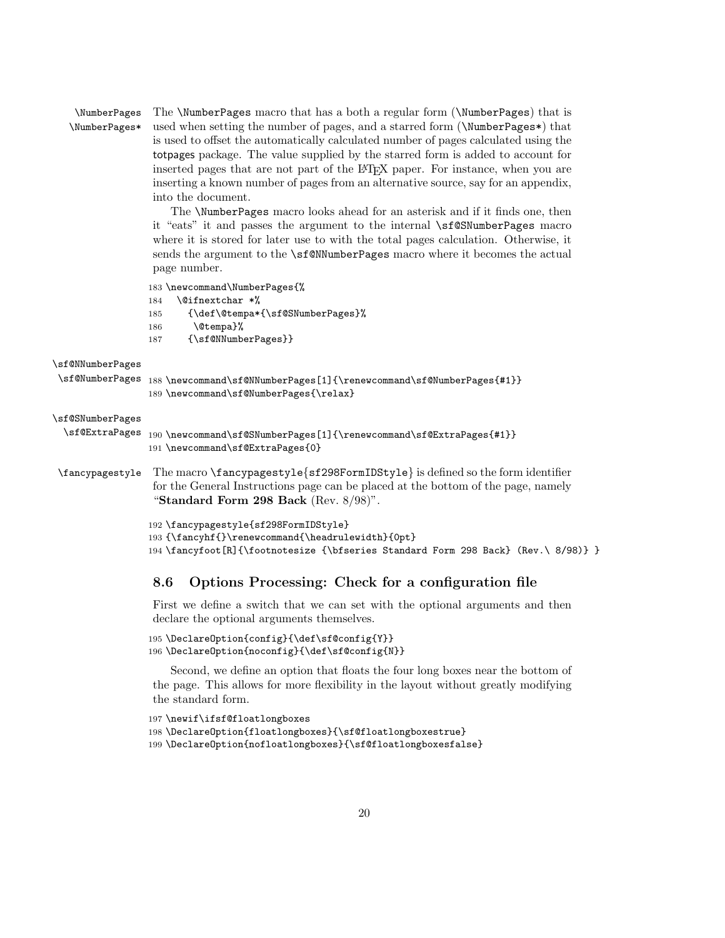\NumberPages \NumberPages\* The \NumberPages macro that has a both a regular form (\NumberPages) that is used when setting the number of pages, and a starred form (\NumberPages\*) that is used to offset the automatically calculated number of pages calculated using the totpages package. The value supplied by the starred form is added to account for inserted pages that are not part of the LAT<sub>EX</sub> paper. For instance, when you are inserting a known number of pages from an alternative source, say for an appendix, into the document.

> The \NumberPages macro looks ahead for an asterisk and if it finds one, then it "eats" it and passes the argument to the internal \sf@SNumberPages macro where it is stored for later use to with the total pages calculation. Otherwise, it sends the argument to the \sf@NNumberPages macro where it becomes the actual page number.

183 \newcommand\NumberPages{%

```
184 \@ifnextchar *%
```

```
185 {\def\@tempa*{\sf@SNumberPages}%
```

```
186 \@tempa}%
```

```
187 {\sf@NNumberPages}}
```

```
\sf@NNumberPages
```

```
\sf@NumberPages 188 \newcommand\sf@NNumberPages[1]{\renewcommand\sf@NumberPages{#1}}
                 189 \newcommand\sf@NumberPages{\relax}
\sf@SNumberPages
 \sf@ExtraPages 190 \newcommand\sf@SNumberPages[1]{\renewcommand\sf@ExtraPages{#1}}
                 191 \newcommand\sf@ExtraPages{0}
\fancypagestyle The macro \fancypagestyle{sf298FormIDStyle} is defined so the form identifier
                  for the General Instructions page can be placed at the bottom of the page, namely
                  "Standard Form 298 Back (Rev. 8/98)".
```

```
192 \fancypagestyle{sf298FormIDStyle}
```

```
193 {\fancyhf{}\renewcommand{\headrulewidth}{0pt}
```

```
194 \fancyfoot[R]{\footnotesize {\bfseries Standard Form 298 Back} (Rev.\ 8/98)} }
```
# 8.6 Options Processing: Check for a configuration file

First we define a switch that we can set with the optional arguments and then declare the optional arguments themselves.

```
195 \DeclareOption{config}{\def\sf@config{Y}}
196 \DeclareOption{noconfig}{\def\sf@config{N}}
```
Second, we define an option that floats the four long boxes near the bottom of the page. This allows for more flexibility in the layout without greatly modifying the standard form.

```
197 \newif\ifsf@floatlongboxes
198 \DeclareOption{floatlongboxes}{\sf@floatlongboxestrue}
199 \DeclareOption{nofloatlongboxes}{\sf@floatlongboxesfalse}
```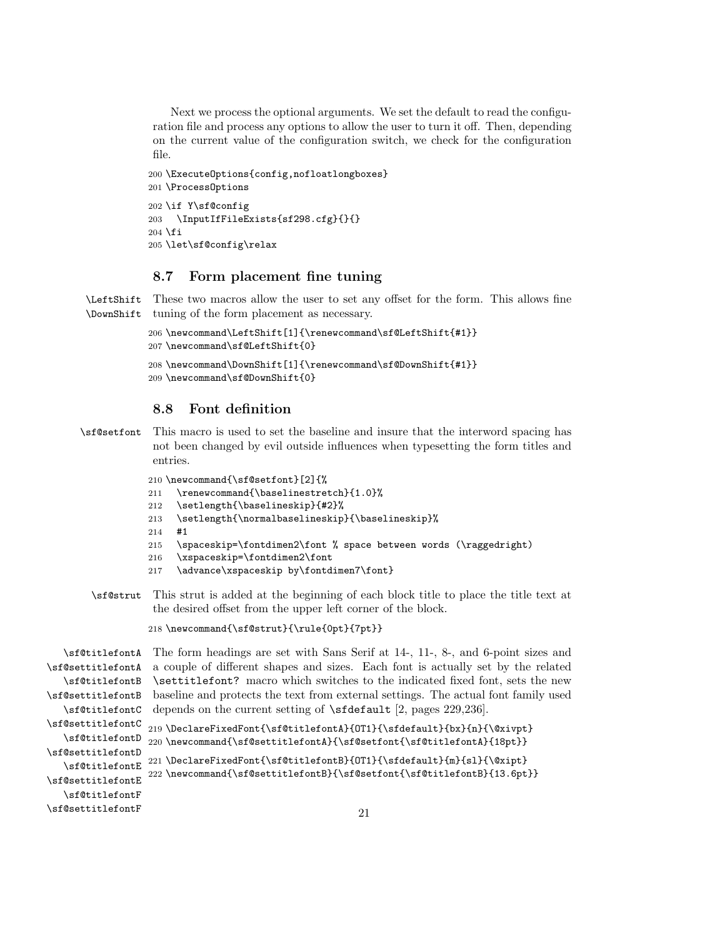Next we process the optional arguments. We set the default to read the configuration file and process any options to allow the user to turn it off. Then, depending on the current value of the configuration switch, we check for the configuration file.

```
200 \ExecuteOptions{config,nofloatlongboxes}
201 \ProcessOptions
202 \if Y\sf@config
203 \InputIfFileExists{sf298.cfg}{}{}
204 \fi
205 \let\sf@config\relax
```
# 8.7 Form placement fine tuning

\LeftShift These two macros allow the user to set any offset for the form. This allows fine \DownShift tuning of the form placement as necessary.

```
206 \newcommand\LeftShift[1]{\renewcommand\sf@LeftShift{#1}}
207 \newcommand\sf@LeftShift{0}
208 \newcommand\DownShift[1]{\renewcommand\sf@DownShift{#1}}
209 \newcommand\sf@DownShift{0}
```
# 8.8 Font definition

\sf@setfont This macro is used to set the baseline and insure that the interword spacing has not been changed by evil outside influences when typesetting the form titles and entries.

210 \newcommand{\sf@setfont}[2]{%

- 211 \renewcommand{\baselinestretch}{1.0}%
- 212 \setlength{\baselineskip}{#2}%
- 213 \setlength{\normalbaselineskip}{\baselineskip}%
- 214 #1
- 215 \spaceskip=\fontdimen2\font % space between words (\raggedright)
- 216 \xspaceskip=\fontdimen2\font
- 217 \advance\xspaceskip by\fontdimen7\font}
- \sf@strut This strut is added at the beginning of each block title to place the title text at the desired offset from the upper left corner of the block.

218 \newcommand{\sf@strut}{\rule{0pt}{7pt}}

```
\sf@titlefontA
The form headings are set with Sans Serif at 14-, 11-, 8-, and 6-point sizes and
\sf@settitlefontA
a couple of different shapes and sizes. Each font is actually set by the related
   \sf@titlefontB
\sf@settitlefontB
   \sf@titlefontC
depends on the current setting of \sfdefault [2, pages 229,236].
\sf@settitlefontC
   \sf@titlefontD 220 \newcommand{\sf@settitlefontA}{\sf@setfont{\sf@titlefontA}{18pt}}
\sf@settitlefontD
   \sf@titlefontE 221 \DeclareFixedFont{\sf@titlefontB}{OT1}{\sfdefault}{m}{sl}{\@xipt}\sf{\cfg}}
\sf@settitlefontE
   \sf@titlefontF
\sf@settitlefontF
                   \settitlefont? macro which switches to the indicated fixed font, sets the new
                   baseline and protects the text from external settings. The actual font family used
                   219 \DeclareFixedFont{\sf@titlefontA}{OT1}{\sfdefault}{bx}{n}{\@xivpt}
                   222 \newcommand{\sf@settitlefontB}{\sf@setfont{\sf@titlefontB}{13.6pt}}
                                                          21
```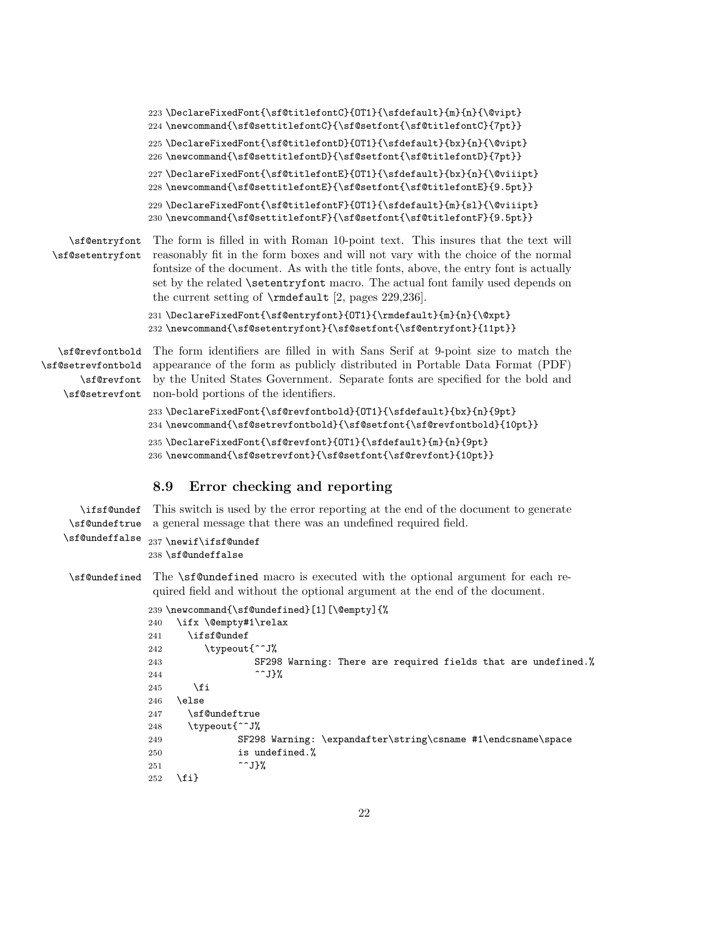```
223 \DeclareFixedFont{\sf@titlefontC}{OT1}{\sfdefault}{m}{n}{\@vipt}
224 \newcommand{\sf@settitlefontC}{\sf@setfont{\sf@titlefontC}{7pt}}
225 \DeclareFixedFont{\sf@titlefontD}{OT1}{\sfdefault}{bx}{n}{\@vipt}
226 \newcommand{\sf@settitlefontD}{\sf@setfont{\sf@titlefontD}{7pt}}
227 \DeclareFixedFont{\sf@titlefontE}{OT1}{\sfdefault}{bx}{n}{\@viiipt}
228 \newcommand{\sf@settitlefontE}{\sf@setfont{\sf@titlefontE}{9.5pt}}
229 \DeclareFixedFont{\sf@titlefontF}{OT1}{\sfdefault}{m}{sl}{\@viiipt}
230 \newcommand{\sf@settitlefontF}{\sf@setfont{\sf@titlefontF}{9.5pt}}
```
\sf@entryfont \sf@setentryfont The form is filled in with Roman 10-point text. This insures that the text will reasonably fit in the form boxes and will not vary with the choice of the normal fontsize of the document. As with the title fonts, above, the entry font is actually set by the related **\setentryfont** macro. The actual font family used depends on the current setting of \rmdefault [2, pages 229,236].

> 231 \DeclareFixedFont{\sf@entryfont}{OT1}{\rmdefault}{m}{n}{\@xpt} 232 \newcommand{\sf@setentryfont}{\sf@setfont{\sf@entryfont}{11pt}}

\sf@revfontbold The form identifiers are filled in with Sans Serif at 9-point size to match the \sf@setrevfontbold appearance of the form as publicly distributed in Portable Data Format (PDF) \sf@revfont by the United States Government. Separate fonts are specified for the bold and \sf@setrevfont non-bold portions of the identifiers.

```
233 \DeclareFixedFont{\sf@revfontbold}{OT1}{\sfdefault}{bx}{n}{9pt}
234 \newcommand{\sf@setrevfontbold}{\sf@setfont{\sf@revfontbold}{10pt}}
235 \DeclareFixedFont{\sf@revfont}{OT1}{\sfdefault}{m}{n}{9pt}
236 \newcommand{\sf@setrevfont}{\sf@setfont{\sf@revfont}{10pt}}
```
#### 8.9 Error checking and reporting

```
\ifsf@undef
This switch is used by the error reporting at the end of the document to generate
\sf@undeftrue
a general message that there was an undefined required field.
\sf@undeffalse
237 \newif\ifsf@undef
             238 \sf@undeffalse
\sf@undefined The \sf@undefined macro is executed with the optional argument for each re-
              quired field and without the optional argument at the end of the document.
             239 \newcommand{\sf@undefined}[1][\@empty]{%
             240 \ifx \@empty#1\relax
             241 \ifsf@undef
             242 \typeout{^^J%
             243 SF298 Warning: There are required fields that are undefined.%
             244 ^^J}%
             245 \fi
             246 \else
             247 \sf@undeftrue
             248 \typeout{^^J%
             249 SF298 Warning: \expandafter\string\csname #1\endcsname\space
             250 is undefined.%
```

```
252 \fi}
```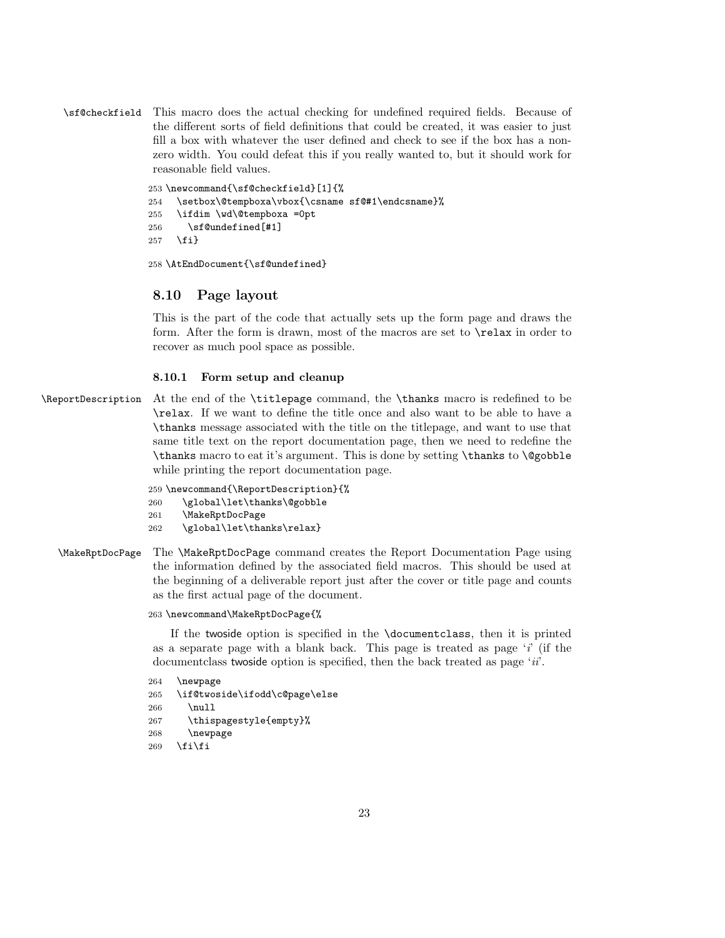\sf@checkfield This macro does the actual checking for undefined required fields. Because of the different sorts of field definitions that could be created, it was easier to just fill a box with whatever the user defined and check to see if the box has a nonzero width. You could defeat this if you really wanted to, but it should work for reasonable field values.

```
253 \newcommand{\sf@checkfield}[1]{%
254 \setbox\@tempboxa\vbox{\csname sf@#1\endcsname}%
255 \ifdim \wd\@tempboxa =0pt
256 \sf@undefined[#1]
257 \fi}
```
258 \AtEndDocument{\sf@undefined}

### 8.10 Page layout

This is the part of the code that actually sets up the form page and draws the form. After the form is drawn, most of the macros are set to \relax in order to recover as much pool space as possible.

#### 8.10.1 Form setup and cleanup

\ReportDescription At the end of the \titlepage command, the \thanks macro is redefined to be \relax. If we want to define the title once and also want to be able to have a \thanks message associated with the title on the titlepage, and want to use that same title text on the report documentation page, then we need to redefine the \thanks macro to eat it's argument. This is done by setting \thanks to \@gobble while printing the report documentation page.

```
259 \newcommand{\ReportDescription}{%
260 \global\let\thanks\@gobble
261 \MakeRptDocPage
262 \global\let\thanks\relax}
```
\MakeRptDocPage The \MakeRptDocPage command creates the Report Documentation Page using the information defined by the associated field macros. This should be used at the beginning of a deliverable report just after the cover or title page and counts as the first actual page of the document.

#### 263 \newcommand\MakeRptDocPage{%

If the twoside option is specified in the \documentclass, then it is printed as a separate page with a blank back. This page is treated as page  $i'$  (if the document class two side option is specified, then the back treated as page ' $ii'$ .

```
264 \newpage
265 \if@twoside\ifodd\c@page\else
266 \null
267 \thispagestyle{empty}%
268 \newpage
269 \fi\fi
```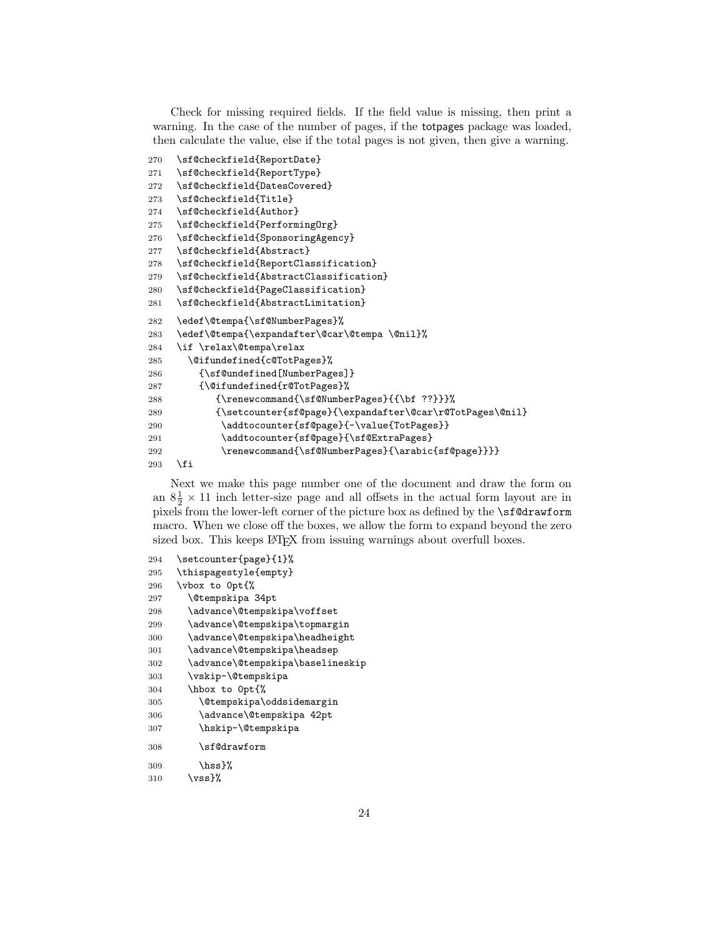Check for missing required fields. If the field value is missing, then print a warning. In the case of the number of pages, if the totpages package was loaded, then calculate the value, else if the total pages is not given, then give a warning.

```
270 \sf@checkfield{ReportDate}
271 \sf@checkfield{ReportType}
272 \sf@checkfield{DatesCovered}
273 \sf@checkfield{Title}
274 \sf@checkfield{Author}
275 \sf@checkfield{PerformingOrg}
276 \sf@checkfield{SponsoringAgency}
277 \sf@checkfield{Abstract}
278 \sf@checkfield{ReportClassification}
279 \sf@checkfield{AbstractClassification}
280 \sf@checkfield{PageClassification}
281 \sf@checkfield{AbstractLimitation}
282 \edef\@tempa{\sf@NumberPages}%
283 \edef\@tempa{\expandafter\@car\@tempa \@nil}%
284 \if \relax\@tempa\relax
285 \@ifundefined{c@TotPages}%
286 {\sf@undefined[NumberPages]}
287 {\@ifundefined{r@TotPages}%
288 {\renewcommand{\sf@NumberPages}{{\bf ??}}}%
289 {\setcounter{sf@page}{\expandafter\@car\r@TotPages\@nil}
290 \addtocounter{sf@page}{-\value{TotPages}}
291 \addtocounter{sf@page}{\sf@ExtraPages}
292 \renewcommand{\sf@NumberPages}{\arabic{sf@page}}}}
293 \fi
```
Next we make this page number one of the document and draw the form on an  $8\frac{1}{2} \times 11$  inch letter-size page and all offsets in the actual form layout are in pixels from the lower-left corner of the picture box as defined by the \sf@drawform macro. When we close off the boxes, we allow the form to expand beyond the zero sized box. This keeps LAT<sub>E</sub>X from issuing warnings about overfull boxes.

```
294 \setcounter{page}{1}%
295 \thispagestyle{empty}
296 \vbox to 0pt{%
297 \@tempskipa 34pt
298 \advance\@tempskipa\voffset
299 \advance\@tempskipa\topmargin
300 \advance\@tempskipa\headheight
301 \advance\@tempskipa\headsep
302 \advance\@tempskipa\baselineskip
303 \vskip-\@tempskipa
304 \hbox to 0pt{%
305 \@tempskipa\oddsidemargin
306 \advance\@tempskipa 42pt
307 \hskip-\@tempskipa
308 \sf@drawform
309 \hbox{hss}?
310 \quad \text{Vss}\%
```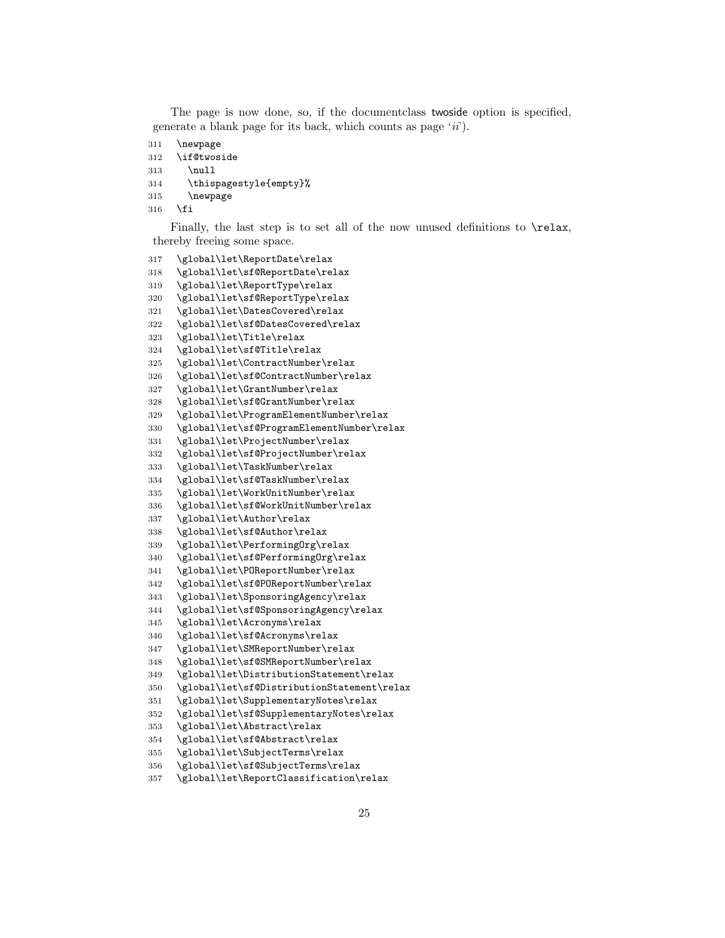The page is now done, so, if the documentclass twoside option is specified, generate a blank page for its back, which counts as page  $(ii)$ .

```
311 \newpage
```

```
312 \if@twoside
```

```
313 \null
```

```
314 \thispagestyle{empty}%
```
- \newpage
- \fi

Finally, the last step is to set all of the now unused definitions to  $\relaxrightarrow$ thereby freeing some space.

```
317 \global\let\ReportDate\relax
318 \global\let\sf@ReportDate\relax
319 \global\let\ReportType\relax
320 \global\let\sf@ReportType\relax
321 \global\let\DatesCovered\relax
322 \global\let\sf@DatesCovered\relax
323 \global\let\Title\relax
324 \global\let\sf@Title\relax
325 \global\let\ContractNumber\relax
326 \global\let\sf@ContractNumber\relax
327 \global\let\GrantNumber\relax
328 \global\let\sf@GrantNumber\relax
329 \global\let\ProgramElementNumber\relax
330 \global\let\sf@ProgramElementNumber\relax
331 \global\let\ProjectNumber\relax
332 \global\let\sf@ProjectNumber\relax
333 \global\let\TaskNumber\relax
334 \global\let\sf@TaskNumber\relax
335 \global\let\WorkUnitNumber\relax
336 \global\let\sf@WorkUnitNumber\relax
337 \global\let\Author\relax
338 \global\let\sf@Author\relax
339 \global\let\PerformingOrg\relax
340 \global\let\sf@PerformingOrg\relax
341 \global\let\POReportNumber\relax
342 \global\let\sf@POReportNumber\relax
343 \global\let\SponsoringAgency\relax
344 \global\let\sf@SponsoringAgency\relax
345 \global\let\Acronyms\relax
346 \global\let\sf@Acronyms\relax
347 \global\let\SMReportNumber\relax
348 \global\let\sf@SMReportNumber\relax
349 \global\let\DistributionStatement\relax
350 \global\let\sf@DistributionStatement\relax
351 \global\let\SupplementaryNotes\relax
352 \global\let\sf@SupplementaryNotes\relax
353 \global\let\Abstract\relax
354 \global\let\sf@Abstract\relax
355 \global\let\SubjectTerms\relax
356 \global\let\sf@SubjectTerms\relax
```

```
357 \global\let\ReportClassification\relax
```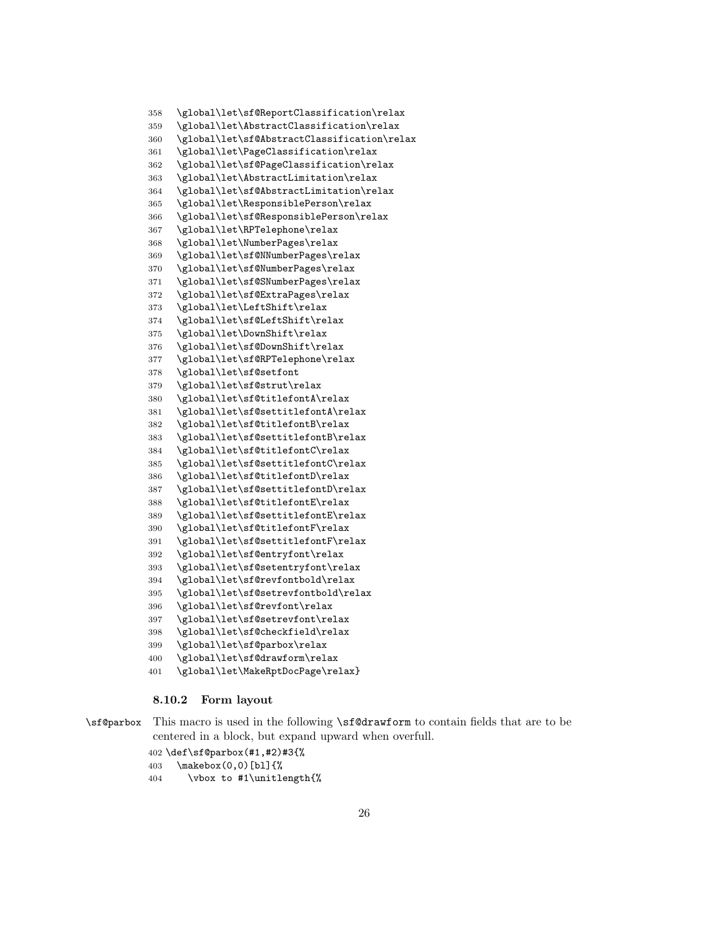```
358 \global\let\sf@ReportClassification\relax
359 \global\let\AbstractClassification\relax
360 \global\let\sf@AbstractClassification\relax
361 \global\let\PageClassification\relax
362 \global\let\sf@PageClassification\relax
363 \global\let\AbstractLimitation\relax
364 \global\let\sf@AbstractLimitation\relax
365 \global\let\ResponsiblePerson\relax
366 \global\let\sf@ResponsiblePerson\relax
367 \global\let\RPTelephone\relax
368 \global\let\NumberPages\relax
369 \global\let\sf@NNumberPages\relax
370 \global\let\sf@NumberPages\relax
371 \global\let\sf@SNumberPages\relax
372 \global\let\sf@ExtraPages\relax
373 \global\let\LeftShift\relax
374 \global\let\sf@LeftShift\relax
375 \global\let\DownShift\relax
376 \global\let\sf@DownShift\relax
377 \global\let\sf@RPTelephone\relax
378 \global\let\sf@setfont
379 \global\let\sf@strut\relax
380 \global\let\sf@titlefontA\relax
381 \global\let\sf@settitlefontA\relax
382 \global\let\sf@titlefontB\relax
383 \global\let\sf@settitlefontB\relax
384 \global\let\sf@titlefontC\relax
385 \global\let\sf@settitlefontC\relax
386 \global\let\sf@titlefontD\relax
387 \global\let\sf@settitlefontD\relax
388 \global\let\sf@titlefontE\relax
389 \global\let\sf@settitlefontE\relax
390 \global\let\sf@titlefontF\relax
391 \global\let\sf@settitlefontF\relax
392 \global\let\sf@entryfont\relax
393 \global\let\sf@setentryfont\relax
394 \global\let\sf@revfontbold\relax
395 \global\let\sf@setrevfontbold\relax
396 \global\let\sf@revfont\relax
397 \global\let\sf@setrevfont\relax
398 \global\let\sf@checkfield\relax
399 \global\let\sf@parbox\relax
400 \global\let\sf@drawform\relax
401 \global\let\MakeRptDocPage\relax}
```
#### 8.10.2 Form layout

\sf@parbox This macro is used in the following \sf@drawform to contain fields that are to be centered in a block, but expand upward when overfull.

```
402 \def\sf@parbox(#1,#2)#3{%
403 \makebox(0,0)[bl]{%
```
\vbox to #1\unitlength{%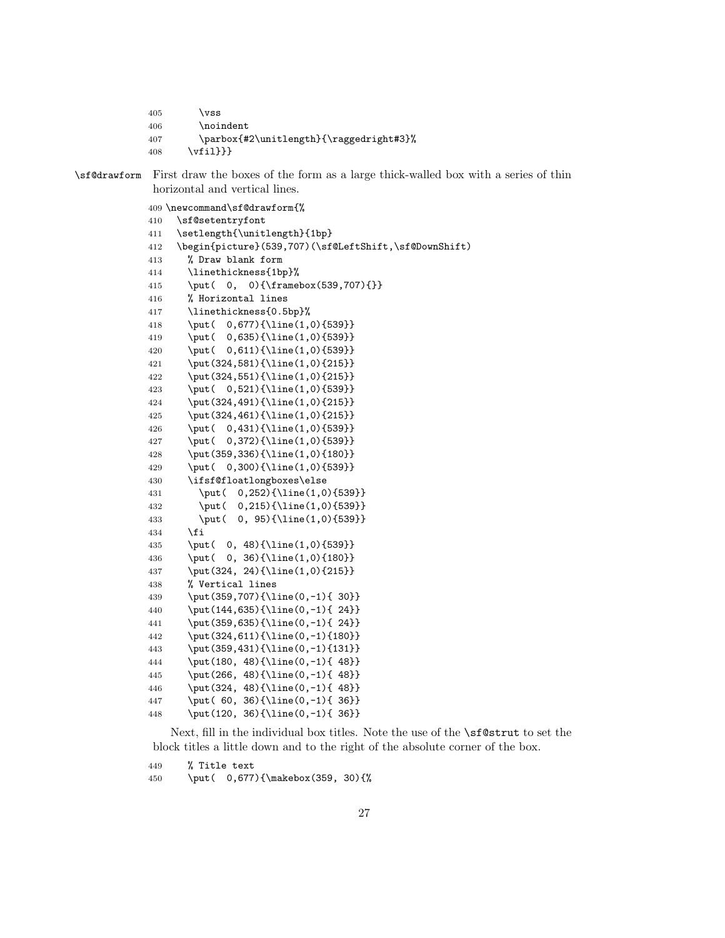```
405 \forallss
406 \noindent
407 \parbox{#2\unitlength}{\raggedright#3}%
408 \vfil}}}
```
\sf@drawform First draw the boxes of the form as a large thick-walled box with a series of thin horizontal and vertical lines.

\newcommand\sf@drawform{%

```
410 \sf@setentryfont
411 \setlength{\unitlength}{1bp}
412 \begin{picture}(539,707)(\sf@LeftShift,\sf@DownShift)
413 % Draw blank form
414 \linethickness{1bp}%
415 \put( 0, 0){\framebox(539,707){}}
416 % Horizontal lines
417 \linethickness{0.5bp}%
418 \put( 0,677){\line(1,0){539}}
419 \put( 0,635}{\line(1,0){539}}
420 \put( 0,611){\line(1,0){539}}
421 \put(324,581){\line(1,0){215}}
422 \put(324,551){\line(1,0){215}}
423 \put( 0,521){\line(1,0){539}}
424 \put(324,491){\line(1,0){215}}
425 \put(324,461){\line(1,0){215}}
426 \put( 0,431){\line(1,0){539}}
427 \put( 0,372){\line(1,0){539}}
428 \put(359,336){\line(1,0){180}}
429 \put( 0,300){\line(1,0){539}}
430 \ifsf@floatlongboxes\else
431 \put( 0,252){\line(1,0){539}}
432 \put( 0,215){\line(1,0){539}}
433 \put( 0, 95){\line(1,0){539}}
434 \fi
435 \put( 0, 48){\line(1,0){539}}
436 \put( 0, 36){\line(1,0){180}}
437 \put(324, 24){\line(1,0){215}}
438 % Vertical lines
439 \put(359,707){\line(0,-1){ 30}}
440 \put(144,635){\line(0,-1){ 24}}
441 \put(359,635){\line(0,-1){ 24}}
442 \put(324,611){\line(0,-1){180}}
443 \put(359,431){\line(0,-1){131}}
444 \put(180, 48){\line(0,-1){ 48}}
445 \put(266, 48){\line(0,-1){ 48}}
446 \put(324, 48){\line(0,-1){ 48}}
447 \put( 60, 36){\line(0,-1){ 36}}
448 \put(120, 36){\line(0,-1){ 36}}
```
Next, fill in the individual box titles. Note the use of the **\sf@strut** to set the block titles a little down and to the right of the absolute corner of the box.

% Title text

\put( 0,677){\makebox(359, 30){%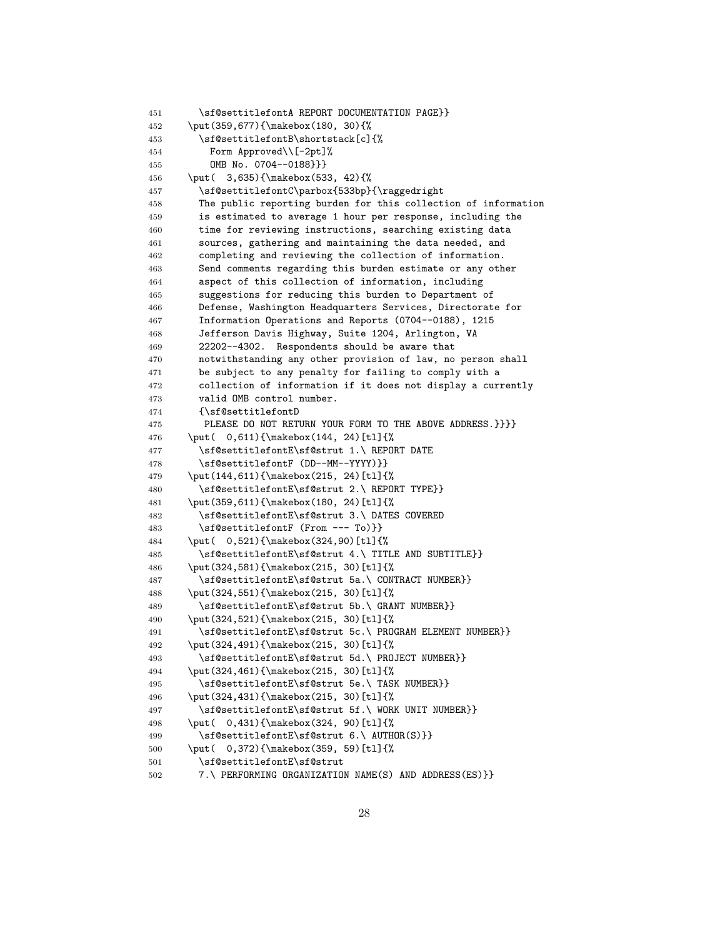```
451 \sf@settitlefontA REPORT DOCUMENTATION PAGE}}
452 \put(359,677){\makebox(180, 30){%
453 \sf@settitlefontB\shortstack[c]{%
454 Form Approved\\[-2pt]%
455 OMB No. 0704--0188}}}
456 \put( 3,635){\makebox(533, 42){%
457 \sf@settitlefontC\parbox{533bp}{\raggedright
458 The public reporting burden for this collection of information
459 is estimated to average 1 hour per response, including the
460 time for reviewing instructions, searching existing data
461 sources, gathering and maintaining the data needed, and
462 completing and reviewing the collection of information.
463 Send comments regarding this burden estimate or any other
464 aspect of this collection of information, including
465 suggestions for reducing this burden to Department of
466 Defense, Washington Headquarters Services, Directorate for
467 Information Operations and Reports (0704--0188), 1215
468 Jefferson Davis Highway, Suite 1204, Arlington, VA
469 22202--4302. Respondents should be aware that
470 notwithstanding any other provision of law, no person shall
471 be subject to any penalty for failing to comply with a
472 collection of information if it does not display a currently
473 valid OMB control number.
474 {\sf@settitlefontD
475 PLEASE DO NOT RETURN YOUR FORM TO THE ABOVE ADDRESS.}}}}
476 \put( 0,611){\makebox(144, 24)[tl]{%
477 \sf@settitlefontE\sf@strut 1.\ REPORT DATE
478 \sf@settitlefontF (DD--MM--YYYY)}}
479 \put(144,611){\makebox(215, 24)[tl]{%
480 \sf@settitlefontE\sf@strut 2.\ REPORT TYPE}}
481 \put(359,611){\makebox(180, 24)[tl]{%
482 \sf@settitlefontE\sf@strut 3.\ DATES COVERED
483 \sf@settitlefontF (From --- To)}}
484 \put( 0,521){\makebox(324,90)[tl]{%
485 \sf@settitlefontE\sf@strut 4.\ TITLE AND SUBTITLE}}
486 \put(324,581){\makebox(215, 30)[tl]{%
487 \sf@settitlefontE\sf@strut 5a.\ CONTRACT NUMBER}}
488 \put(324,551){\makebox(215, 30)[tl]{%
489 \sf@settitlefontE\sf@strut 5b.\ GRANT NUMBER}}
490 \put(324,521){\makebox(215, 30)[tl]{%
491 \sf@settitlefontE\sf@strut 5c.\ PROGRAM ELEMENT NUMBER}}
492 \put(324,491){\makebox(215, 30)[tl]{%
493 \sf@settitlefontE\sf@strut 5d.\ PROJECT NUMBER}}
494 \put(324,461){\makebox(215, 30)[tl]{%
495 \sf@settitlefontE\sf@strut 5e.\ TASK NUMBER}}
496 \put(324,431){\makebox(215, 30)[tl]{%
497 \sf@settitlefontE\sf@strut 5f.\ WORK UNIT NUMBER}}
498 \put( 0,431){\makebox(324, 90)[tl]{%
499 \sf@settitlefontE\sf@strut 6.\ AUTHOR(S)}}
500 \put( 0,372){\makebox(359, 59)[tl]{%
501 \sf@settitlefontE\sf@strut
502 7.\ PERFORMING ORGANIZATION NAME(S) AND ADDRESS(ES)}}
```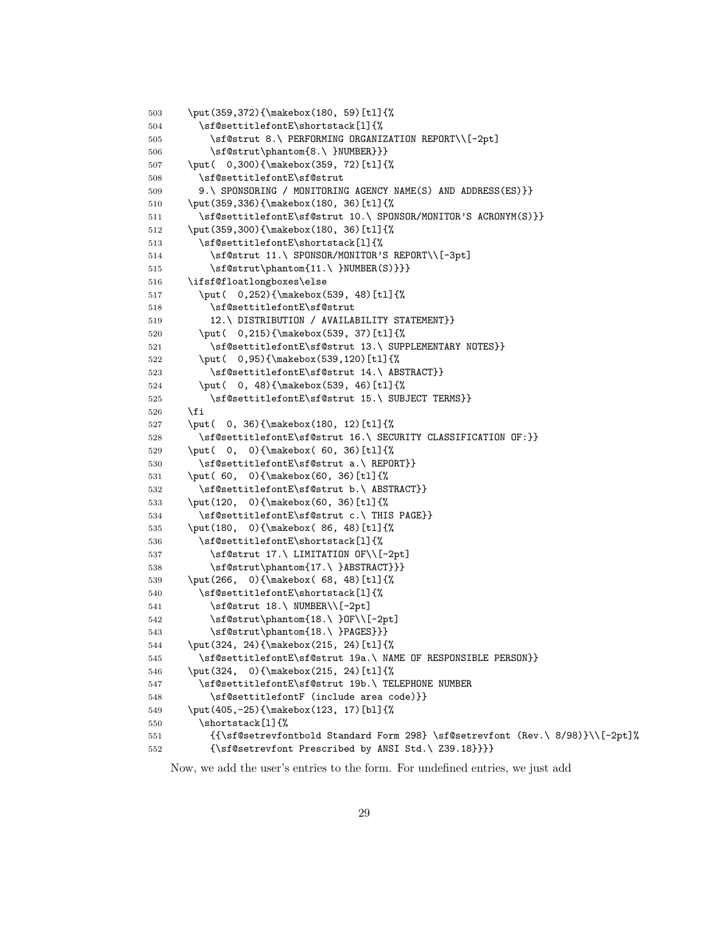```
503 \put(359,372){\makebox(180, 59)[tl]{%
504 \sf@settitlefontE\shortstack[l]{%
505 \sf@strut 8.\ PERFORMING ORGANIZATION REPORT\\[-2pt]
506 \sf@strut\phantom{8.\ }NUMBER}}}
507 \put( 0,300){\makebox(359, 72)[tl]{%
508 \sf@settitlefontE\sf@strut
509 9.\ SPONSORING / MONITORING AGENCY NAME(S) AND ADDRESS(ES)}}
510 \put(359,336){\makebox(180, 36)[tl]{%
511 \sf@settitlefontE\sf@strut 10.\ SPONSOR/MONITOR'S ACRONYM(S)}}
512 \put(359,300){\makebox(180, 36)[tl]{%
513 \sf@settitlefontE\shortstack[l]{%
514 \sf@strut 11.\ SPONSOR/MONITOR'S REPORT\\[-3pt]
515 \sf@strut\phantom{11.\ }NUMBER(S)}}}
516 \ifsf@floatlongboxes\else
517 \put( 0,252){\makebox(539, 48)[tl]{%
518 \sf@settitlefontE\sf@strut
519 12.\ DISTRIBUTION / AVAILABILITY STATEMENT}}
520 \put( 0,215){\makebox(539, 37)[tl]{%
521 \sf@settitlefontE\sf@strut 13.\ SUPPLEMENTARY NOTES}}
522 \put( 0,95){\makebox(539,120)[tl]{%
523 \sf@settitlefontE\sf@strut 14.\ ABSTRACT}}
524 \put( 0, 48){\makebox(539, 46)[tl]{%
525 \sf@settitlefontE\sf@strut 15.\ SUBJECT TERMS}}
526 \fi
527 \put( 0, 36){\makebox(180, 12)[tl]{%
528 \sf@settitlefontE\sf@strut 16.\ SECURITY CLASSIFICATION OF:}}
529 \put( 0, 0){\makebox( 60, 36)[tl]{%
530 \sf@settitlefontE\sf@strut a.\ REPORT}}
531 \put( 60, 0){\makebox(60, 36)[tl]{%
532 \sf@settitlefontE\sf@strut b.\ ABSTRACT}}
533 \put(120, 0){\makebox(60, 36)[tl]{%
534 \sf@settitlefontE\sf@strut c.\ THIS PAGE}}
535 \put(180, 0){\makebox( 86, 48)[tl]{%
536 \sf@settitlefontE\shortstack[l]{%
537 \sf@strut 17.\ LIMITATION OF\\[-2pt]
538 \sf@strut\phantom{17.\ }ABSTRACT}}}
539 \put(266, 0){\makebox( 68, 48)[tl]{%
540 \sf@settitlefontE\shortstack[l]{%
541 \sf@strut 18.\ NUMBER\\[-2pt]
542 \sf@strut\phantom{18.\ }OF\\[-2pt]
543 \sf@strut\phantom{18.\ }PAGES}}}
544 \put(324, 24){\makebox(215, 24)[tl]{%
545 \sf@settitlefontE\sf@strut 19a.\ NAME OF RESPONSIBLE PERSON}}
546 \put(324, 0){\makebox(215, 24)[tl]{%
547 \sf@settitlefontE\sf@strut 19b.\ TELEPHONE NUMBER
548 \sf@settitlefontF (include area code)}}
549 \put(405,-25){\makebox(123, 17)[bl]{%
550 \shortstack[l]{%
551 {{\sf@setrevfontbold Standard Form 298} \sf@setrevfont (Rev.\ 8/98)}\\[-2pt]%
552 {\sf@setrevfont Prescribed by ANSI Std.\ Z39.18}}}}
```
Now, we add the user's entries to the form. For undefined entries, we just add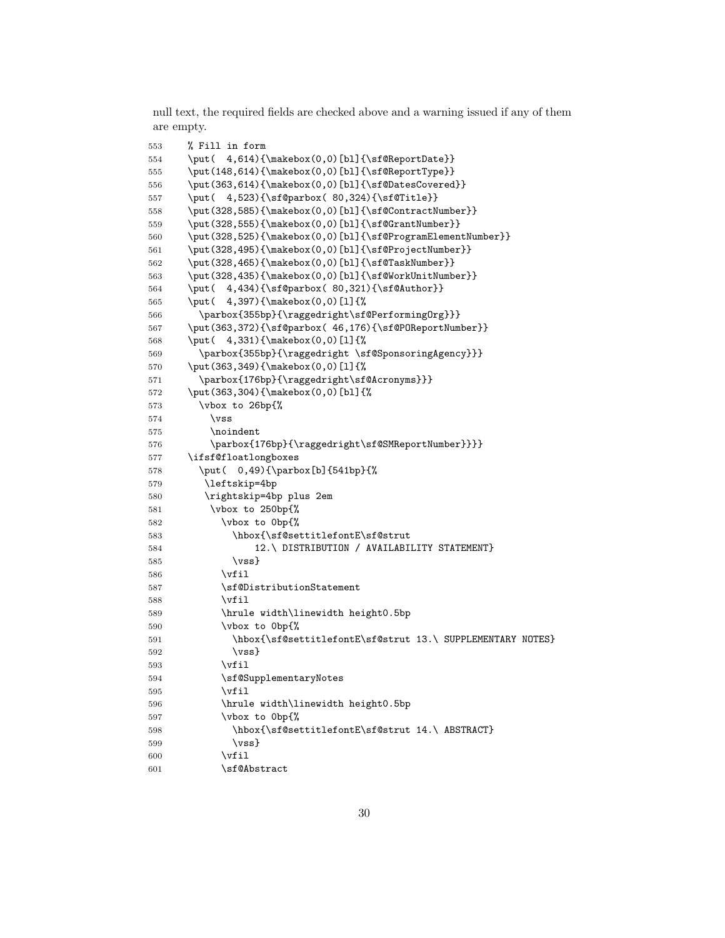null text, the required fields are checked above and a warning issued if any of them are empty.

```
553 % Fill in form
554 \put( 4,614){\makebox(0,0)[bl]{\sf@ReportDate}}
555 \put(148,614){\makebox(0,0)[bl]{\sf@ReportType}}
556 \put(363,614){\makebox(0,0)[bl]{\sf@DatesCovered}}
557 \put( 4,523){\sf@parbox( 80,324){\sf@Title}}
558 \put(328,585){\makebox(0,0)[bl]{\sf@ContractNumber}}
559 \put(328,555){\makebox(0,0)[bl]{\sf@GrantNumber}}
560 \put(328,525){\makebox(0,0)[bl]{\sf@ProgramElementNumber}}
561 \put(328,495){\makebox(0,0)[bl]{\sf@ProjectNumber}}
562 \put(328,465){\makebox(0,0)[bl]{\sf@TaskNumber}}
563 \put(328,435){\makebox(0,0)[bl]{\sf@WorkUnitNumber}}
564 \put( 4,434){\sf@parbox( 80,321){\sf@Author}}
565 \put( 4,397){\makebox(0,0)[l]{%
566 \parbox{355bp}{\raggedright\sf@PerformingOrg}}}
567 \put(363,372){\sf@parbox( 46,176){\sf@POReportNumber}}
568 \put( 4,331){\makebox(0,0)[l]{%
569 \parbox{355bp}{\raggedright \sf@SponsoringAgency}}}
570 \put(363,349){\makebox(0,0)[l]{%
571 \parbox{176bp}{\raggedright\sf@Acronyms}}}
572 \put(363,304){\makebox(0,0)[bl]{%
573 \vbox to 26bp{%
574 \forallss
575 \noindent
576 \parbox{176bp}{\raggedright\sf@SMReportNumber}}}}
577 \ifsf@floatlongboxes
578 \put( 0,49){\parbox[b]{541bp}{%
579 \leftskip=4bp
580 \rightskip=4bp plus 2em
581 \vbox to 250bp{%
582 \vbox to 0bp{%
583 \hbox{\sf@settitlefontE\sf@strut
584 12.\ DISTRIBUTION / AVAILABILITY STATEMENT}
585 \text{Vss}586 \vfil
587 \sf@DistributionStatement
588 \vfil
589 \hrule width\linewidth height0.5bp
590 \vbox to 0bp{%
591 \hbox{\sf@settitlefontE\sf@strut 13.\ SUPPLEMENTARY NOTES}
592 \quad \text{Vss}593 \vfil
594 \sf@SupplementaryNotes
595 \vfil
596 \hrule width\linewidth height0.5bp
597 \vbox to 0bp{%
598 \hbox{\sf@settitlefontE\sf@strut 14.\ ABSTRACT}
599 \vss}
600 \vfil
601 \sf@Abstract
```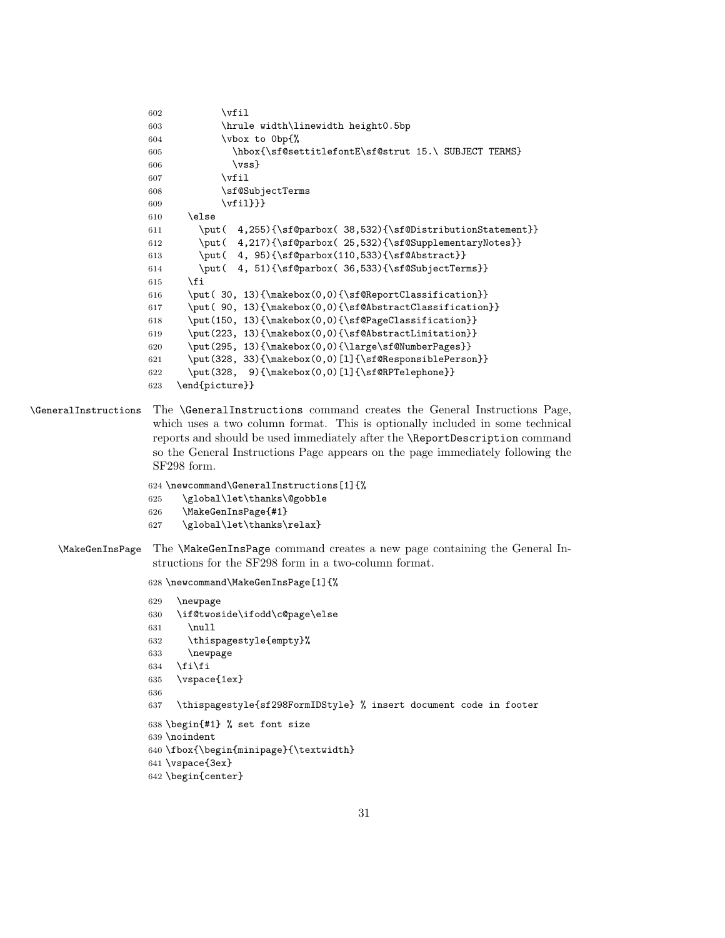```
602 \quad \text{vfil}603 \hrule width\linewidth height0.5bp
604 \vbox to 0bp{%
605 \hbox{\sf@settitlefontE\sf@strut 15.\ SUBJECT TERMS}
606 \quad \text{Vss}607 \forallfil
608 \sf@SubjectTerms
609 \vfil}}}
610 \else
611 \put( 4,255){\sf@parbox( 38,532){\sf@DistributionStatement}}
612 \put( 4,217){\sf@parbox( 25,532){\sf@SupplementaryNotes}}
613 \put( 4, 95){\sf@parbox(110,533){\sf@Abstract}}
614 \put( 4, 51){\sf@parbox( 36,533){\sf@SubjectTerms}}
615 \fi
616 \put( 30, 13){\makebox(0,0){\sf@ReportClassification}}
617 \put( 90, 13){\makebox(0,0){\sf@AbstractClassification}}
618 \put(150, 13){\makebox(0,0){\sf@PageClassification}}
619 \put(223, 13){\makebox(0,0)}{\sf@AbstractLimitation}}620 \put(295, 13){\makebox(0,0){\large\sf@NumberPages}}
621 \put(328, 33){\makebox(0,0)[l]{\sf@ResponsiblePerson}}
622 \put(328, 9){\makebox(0,0)[l]{\sf@RPTelephone}}
623 \end{picture}}
```
\GeneralInstructions The \GeneralInstructions command creates the General Instructions Page, which uses a two column format. This is optionally included in some technical reports and should be used immediately after the \ReportDescription command so the General Instructions Page appears on the page immediately following the SF298 form.

```
624 \newcommand\GeneralInstructions[1]{%
625 \global\let\thanks\@gobble
626 \MakeGenInsPage{#1}
627 \global\let\thanks\relax}
```
\MakeGenInsPage The \MakeGenInsPage command creates a new page containing the General Instructions for the SF298 form in a two-column format.

\newcommand\MakeGenInsPage[1]{%

```
629 \newpage
630 \if@twoside\ifodd\c@page\else
631 \null
632 \thispagestyle{empty}%
633 \newpage
634 \tilde{f}i
635 \vspace{1ex}
636
637 \thispagestyle{sf298FormIDStyle} % insert document code in footer
638 \begin{#1} % set font size
639 \noindent
640 \fbox{\begin{minipage}{\textwidth}
641 \vspace{3ex}
642 \begin{center}
```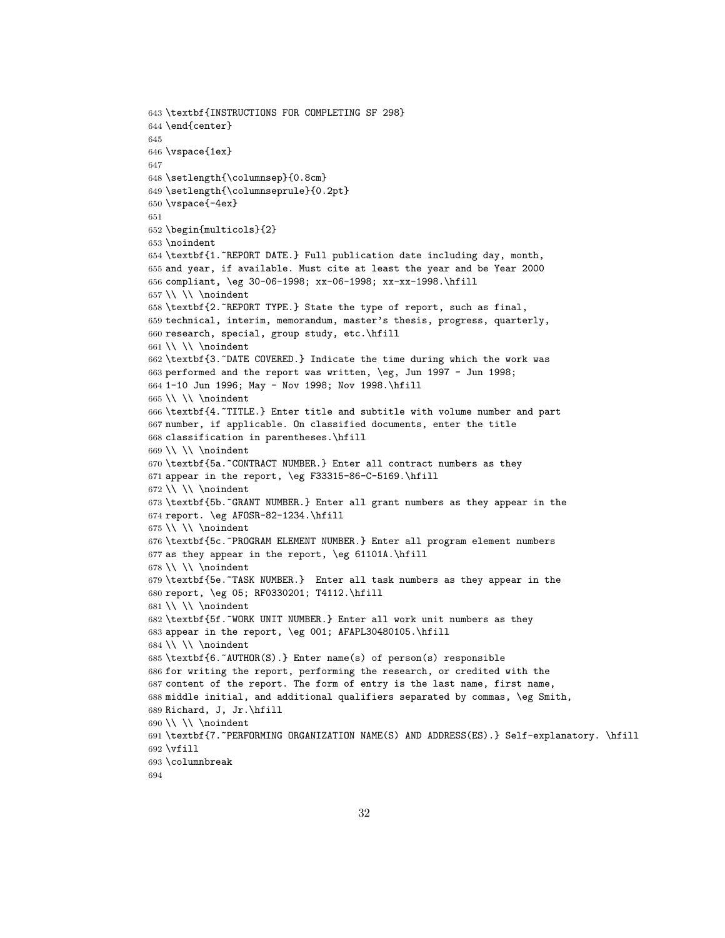```
643 \textbf{INSTRUCTIONS FOR COMPLETING SF 298}
644 \end{center}
645
646 \vspace{1ex}
647
648 \setlength{\columnsep}{0.8cm}
649 \setlength{\columnseprule}{0.2pt}
650 \vspace{-4ex}
651
652 \begin{multicols}{2}
653 \noindent
654 \textbf{1.~REPORT DATE.} Full publication date including day, month,
655 and year, if available. Must cite at least the year and be Year 2000
656 compliant, \eg 30-06-1998; xx-06-1998; xx-xx-1998.\hfill
657 \\ \\ \noindent
658 \textbf{2.~REPORT TYPE.} State the type of report, such as final,
659 technical, interim, memorandum, master's thesis, progress, quarterly,
660 research, special, group study, etc.\hfill
661 \ \ \ \ \ \ \662 \textbf{3.~DATE COVERED.} Indicate the time during which the work was
663 performed and the report was written, \eg, Jun 1997 - Jun 1998;
664 1-10 Jun 1996; May - Nov 1998; Nov 1998.\hfill
665 \ \ \ \ \ \ \ \666 \textbf{4.~TITLE.} Enter title and subtitle with volume number and part
667 number, if applicable. On classified documents, enter the title
668 classification in parentheses.\hfill
669 \\ \\ \noindent
670 \textbf{5a.~CONTRACT NUMBER.} Enter all contract numbers as they
671 appear in the report, \eg F33315-86-C-5169.\hfill
672 \ \ \ \ \ \ \ \673 \textbf{5b.~GRANT NUMBER.} Enter all grant numbers as they appear in the
674 report. \eg AFOSR-82-1234.\hfill
675 \ \\ \ \ \ \noindent
676 \textbf{5c.~PROGRAM ELEMENT NUMBER.} Enter all program element numbers
677 as they appear in the report, \eg 61101A.\hfill
678 \\ \\ \noindent
679 \textbf{5e.~TASK NUMBER.} Enter all task numbers as they appear in the
680 report, \eg 05; RF0330201; T4112.\hfill
681 \\ \\ \noindent
682 \textbf{5f.~WORK UNIT NUMBER.} Enter all work unit numbers as they
683 appear in the report, \eg 001; AFAPL30480105.\hfill
684 \\\ \ \ \ \ \ \ \685 \textbf{6.~AUTHOR(S).} Enter name(s) of person(s) responsible
686 for writing the report, performing the research, or credited with the
687 content of the report. The form of entry is the last name, first name,
688 middle initial, and additional qualifiers separated by commas, \eg Smith,
689 Richard, J, Jr.\hfill
690 \setminus \setminus \text{noindent}691 \textbf{7.~PERFORMING ORGANIZATION NAME(S) AND ADDRESS(ES).} Self-explanatory. \hfill
692 \vfill
693 \columnbreak
694
```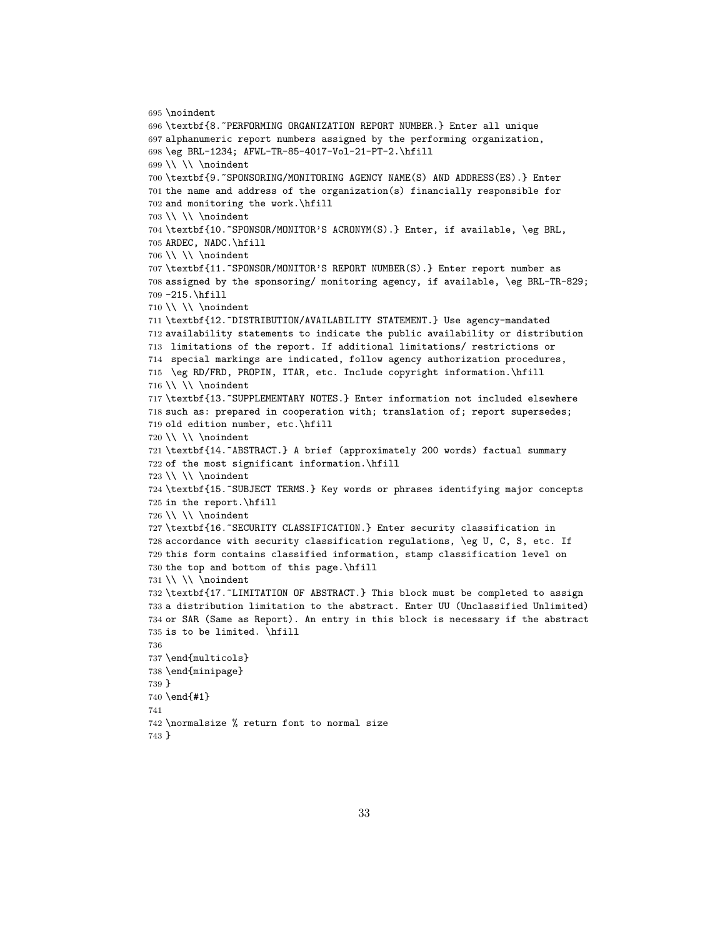```
695 \noindent
696 \textbf{8.~PERFORMING ORGANIZATION REPORT NUMBER.} Enter all unique
697 alphanumeric report numbers assigned by the performing organization,
698 \eg BRL-1234; AFWL-TR-85-4017-Vol-21-PT-2.\hfill
699 \ \\ \ \ \ \ \700 \textbf{9.~SPONSORING/MONITORING AGENCY NAME(S) AND ADDRESS(ES).} Enter
701 the name and address of the organization(s) financially responsible for
702 and monitoring the work.\hfill
703 \\ \\ \noindent
704 \textbf{10.~SPONSOR/MONITOR'S ACRONYM(S).} Enter, if available, \eg BRL,
705 ARDEC, NADC.\hfill
706 \ \ \ \ \ \ \ \707 \textbf{11.~SPONSOR/MONITOR'S REPORT NUMBER(S).} Enter report number as
708 assigned by the sponsoring/ monitoring agency, if available, \eg BRL-TR-829;
709 -215.\hfill
710 \ \ \ \ \ \ \ \noindent
711 \textbf{12.~DISTRIBUTION/AVAILABILITY STATEMENT.} Use agency-mandated
712 availability statements to indicate the public availability or distribution
713 limitations of the report. If additional limitations/ restrictions or
714 special markings are indicated, follow agency authorization procedures,
715 \eg RD/FRD, PROPIN, ITAR, etc. Include copyright information.\hfill
716 \\ \\ \noindent
717 \textbf{13.~SUPPLEMENTARY NOTES.} Enter information not included elsewhere
718 such as: prepared in cooperation with; translation of; report supersedes;
719 old edition number, etc.\hfill
720 \ \ \ \ \ \ \721 \textbf{14.~ABSTRACT.} A brief (approximately 200 words) factual summary
722 of the most significant information.\hfill
723 \ \ \ \ \ \ \ \724 \textbf{15.~SUBJECT TERMS.} Key words or phrases identifying major concepts
725 in the report.\hfill
726 \ \ \ \ \ \ \ \727 \textbf{16.~SECURITY CLASSIFICATION.} Enter security classification in
728 accordance with security classification regulations, \eg U, C, S, etc. If
729 this form contains classified information, stamp classification level on
730 the top and bottom of this page.\hfill
731 \\ \\ \noindent
732 \textbf{17.~LIMITATION OF ABSTRACT.} This block must be completed to assign
733 a distribution limitation to the abstract. Enter UU (Unclassified Unlimited)
734 or SAR (Same as Report). An entry in this block is necessary if the abstract
735 is to be limited. \hfill
736
737 \end{multicols}
738 \end{minipage}
739 }
740 \end{#1}
741
742 \normalsize % return font to normal size
743 }
```